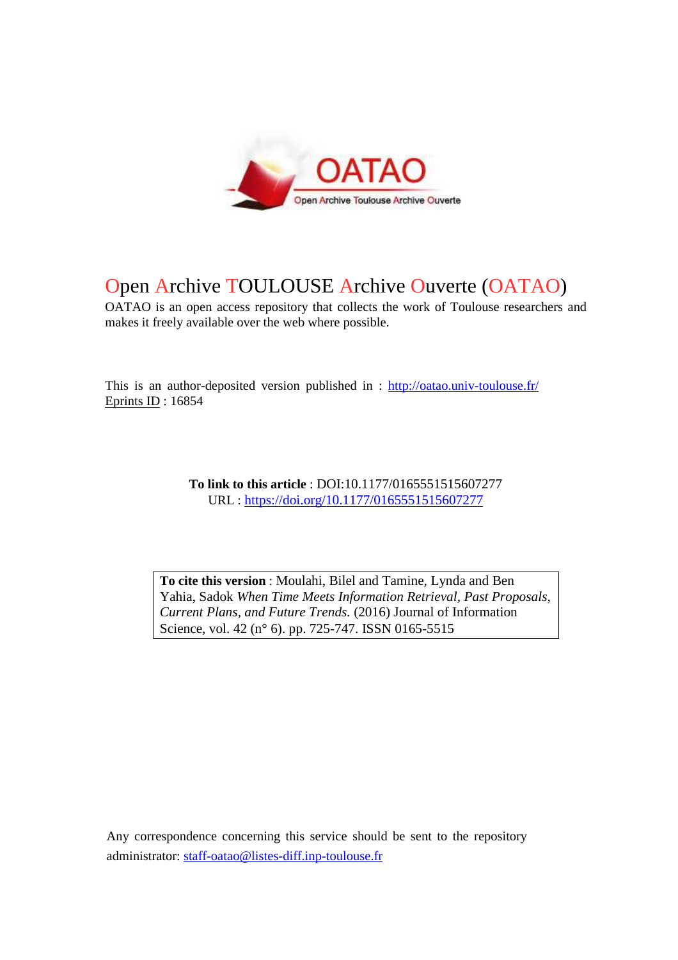

# Open Archive TOULOUSE Archive Ouverte (OATAO)

OATAO is an open access repository that collects the work of Toulouse researchers and makes it freely available over the web where possible.

This is an author-deposited version published in : http://oatao.univ-toulouse.fr/ Eprints ID : 16854

> **To link to this article** : DOI:10.1177/0165551515607277 URL : https://doi.org/10.1177/0165551515607277

**To cite this version** : Moulahi, Bilel and Tamine, Lynda and Ben Yahia, Sadok *When Time Meets Information Retrieval, Past Proposals, Current Plans, and Future Trends.* (2016) Journal of Information Science, vol. 42 (n° 6). pp. 725-747. ISSN 0165-5515

Any correspondence concerning this service should be sent to the repository administrator: staff-oatao@listes-diff.inp-toulouse.fr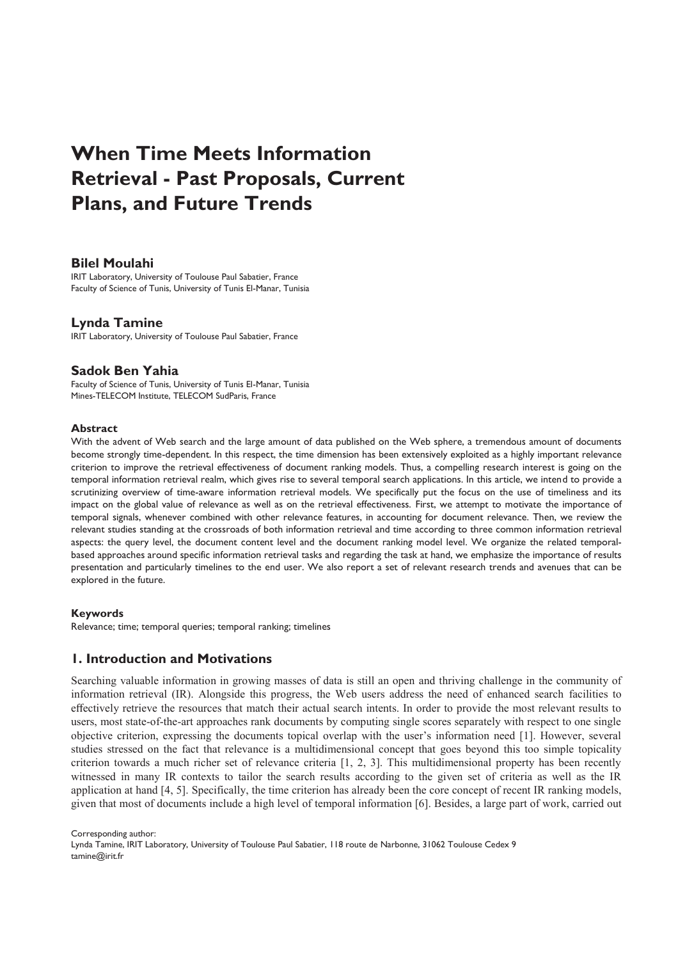# **When Time Meets Information Retrieval - Past Proposals, Current Plans, and Future Trends**

## **Bilel Moulahi**

IRIT Laboratory, University of Toulouse Paul Sabatier, France Faculty of Science of Tunis, University of Tunis El-Manar, Tunisia

## **Lynda Tamine**

IRIT Laboratory, University of Toulouse Paul Sabatier, France

# **Sadok Ben Yahia**

Faculty of Science of Tunis, University of Tunis El-Manar, Tunisia Mines-TELECOM Institute, TELECOM SudParis, France

## **Abstract**

With the advent of Web search and the large amount of data published on the Web sphere, a tremendous amount of documents become strongly time-dependent. In this respect, the time dimension has been extensively exploited as a highly important relevance criterion to improve the retrieval effectiveness of document ranking models. Thus, a compelling research interest is going on the temporal information retrieval realm, which gives rise to several temporal search applications. In this article, we intend to provide a scrutinizing overview of time-aware information retrieval models. We specifically put the focus on the use of timeliness and its impact on the global value of relevance as well as on the retrieval effectiveness. First, we attempt to motivate the importance of temporal signals, whenever combined with other relevance features, in accounting for document relevance. Then, we review the relevant studies standing at the crossroads of both information retrieval and time according to three common information retrieval aspects: the query level, the document content level and the document ranking model level. We organize the related temporalbased approaches around specific information retrieval tasks and regarding the task at hand, we emphasize the importance of results presentation and particularly timelines to the end user. We also report a set of relevant research trends and avenues that can be explored in the future.

## **Keywords**

Relevance; time; temporal queries; temporal ranking; timelines

# **1. Introduction and Motivations**

Searching valuable information in growing masses of data is still an open and thriving challenge in the community of information retrieval (IR). Alongside this progress, the Web users address the need of enhanced search facilities to effectively retrieve the resources that match their actual search intents. In order to provide the most relevant results to users, most state-of-the-art approaches rank documents by computing single scores separately with respect to one single objective criterion, expressing the documents topical overlap with the user's information need [1]. However, several studies stressed on the fact that relevance is a multidimensional concept that goes beyond this too simple topicality criterion towards a much richer set of relevance criteria [1, 2, 3]. This multidimensional property has been recently witnessed in many IR contexts to tailor the search results according to the given set of criteria as well as the IR application at hand [4, 5]. Specifically, the time criterion has already been the core concept of recent IR ranking models, given that most of documents include a high level of temporal information [6]. Besides, a large part of work, carried out

Corresponding author:

Lynda Tamine, IRIT Laboratory, University of Toulouse Paul Sabatier, 118 route de Narbonne, 31062 Toulouse Cedex 9 tamine@irit.fr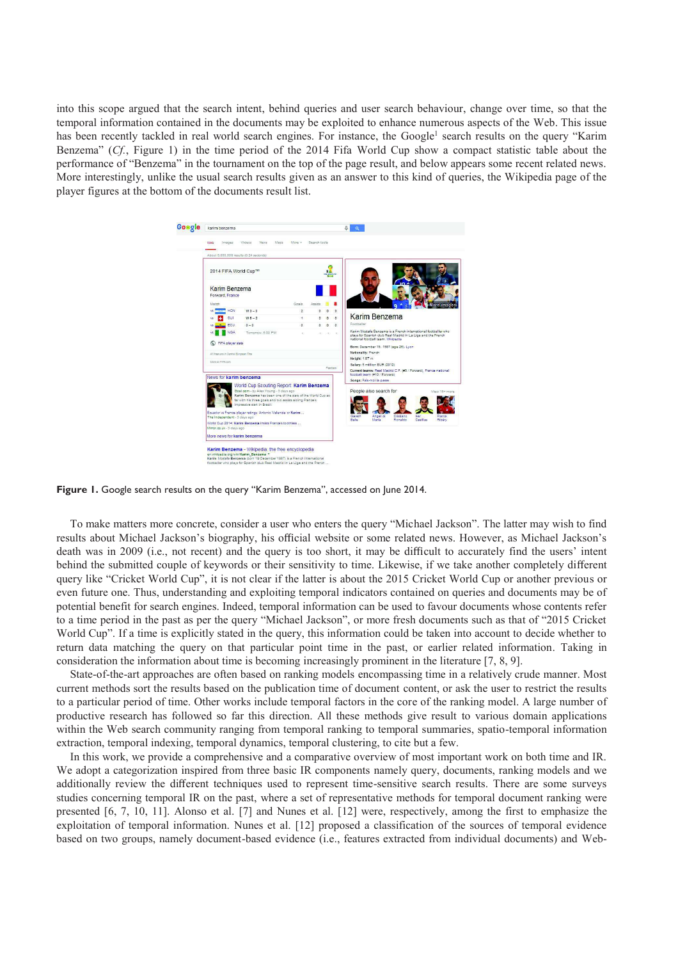into this scope argued that the search intent, behind queries and user search behaviour, change over time, so that the temporal information contained in the documents may be exploited to enhance numerous aspects of the Web. This issue has been recently tackled in real world search engines. For instance, the Google<sup>1</sup> search results on the query "Karim" Benzema" (*Cf.*, Figure 1) in the time period of the 2014 Fifa World Cup show a compact statistic table about the performance of "Benzema" in the tournament on the top of the page result, and below appears some recent related news. More interestingly, unlike the usual search results given as an answer to this kind of queries, the Wikipedia page of the player figures at the bottom of the documents result list.



**Figure 1.** Google search results on the query "Karim Benzema", accessed on June 2014.

To make matters more concrete, consider a user who enters the query "Michael Jackson". The latter may wish to find results about Michael Jackson's biography, his official website or some related news. However, as Michael Jackson's death was in 2009 (i.e., not recent) and the query is too short, it may be difficult to accurately find the users' intent behind the submitted couple of keywords or their sensitivity to time. Likewise, if we take another completely different query like "Cricket World Cup", it is not clear if the latter is about the 2015 Cricket World Cup or another previous or even future one. Thus, understanding and exploiting temporal indicators contained on queries and documents may be of potential benefit for search engines. Indeed, temporal information can be used to favour documents whose contents refer to a time period in the past as per the query "Michael Jackson", or more fresh documents such as that of "2015 Cricket World Cup". If a time is explicitly stated in the query, this information could be taken into account to decide whether to return data matching the query on that particular point time in the past, or earlier related information. Taking in consideration the information about time is becoming increasingly prominent in the literature [7, 8, 9].

State-of-the-art approaches are often based on ranking models encompassing time in a relatively crude manner. Most current methods sort the results based on the publication time of document content, or ask the user to restrict the results to a particular period of time. Other works include temporal factors in the core of the ranking model. A large number of productive research has followed so far this direction. All these methods give result to various domain applications within the Web search community ranging from temporal ranking to temporal summaries, spatio-temporal information extraction, temporal indexing, temporal dynamics, temporal clustering, to cite but a few.

In this work, we provide a comprehensive and a comparative overview of most important work on both time and IR. We adopt a categorization inspired from three basic IR components namely query, documents, ranking models and we additionally review the different techniques used to represent time-sensitive search results. There are some surveys studies concerning temporal IR on the past, where a set of representative methods for temporal document ranking were presented [6, 7, 10, 11]. Alonso et al. [7] and Nunes et al. [12] were, respectively, among the first to emphasize the exploitation of temporal information. Nunes et al. [12] proposed a classification of the sources of temporal evidence based on two groups, namely document-based evidence (i.e., features extracted from individual documents) and Web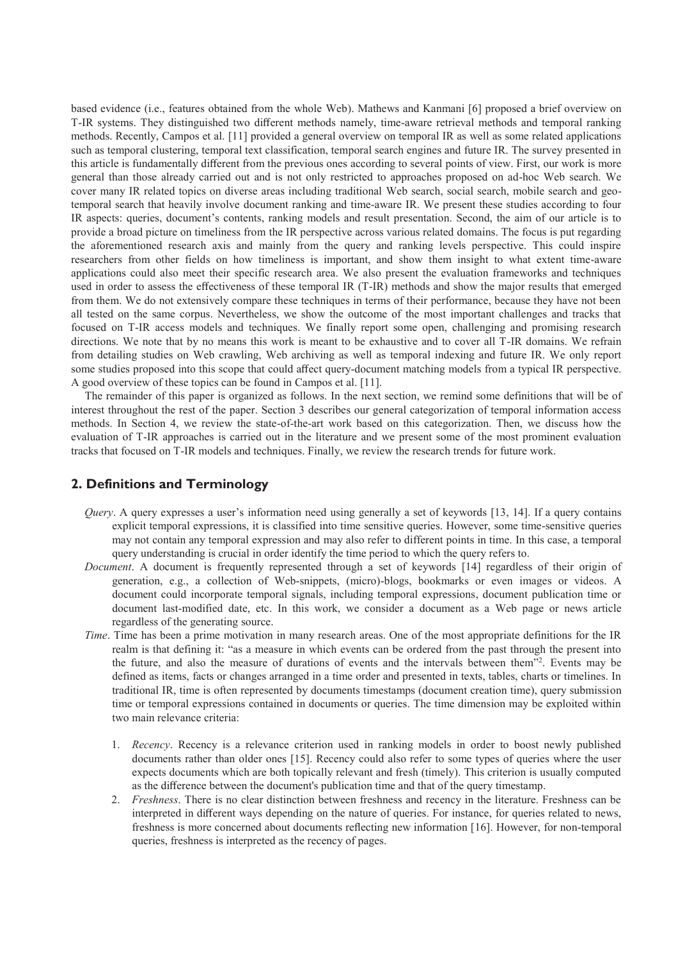based evidence (i.e., features obtained from the whole Web). Mathews and Kanmani [6] proposed a brief overview on T-IR systems. They distinguished two different methods namely, time-aware retrieval methods and temporal ranking methods. Recently, Campos et al. [11] provided a general overview on temporal IR as well as some related applications such as temporal clustering, temporal text classification, temporal search engines and future IR. The survey presented in this article is fundamentally different from the previous ones according to several points of view. First, our work is more general than those already carried out and is not only restricted to approaches proposed on ad-hoc Web search. We cover many IR related topics on diverse areas including traditional Web search, social search, mobile search and geotemporal search that heavily involve document ranking and time-aware IR. We present these studies according to four IR aspects: queries, document's contents, ranking models and result presentation. Second, the aim of our article is to provide a broad picture on timeliness from the IR perspective across various related domains. The focus is put regarding the aforementioned research axis and mainly from the query and ranking levels perspective. This could inspire researchers from other fields on how timeliness is important, and show them insight to what extent time-aware applications could also meet their specific research area. We also present the evaluation frameworks and techniques used in order to assess the effectiveness of these temporal IR (T-IR) methods and show the major results that emerged from them. We do not extensively compare these techniques in terms of their performance, because they have not been all tested on the same corpus. Nevertheless, we show the outcome of the most important challenges and tracks that focused on T-IR access models and techniques. We finally report some open, challenging and promising research directions. We note that by no means this work is meant to be exhaustive and to cover all T-IR domains. We refrain from detailing studies on Web crawling, Web archiving as well as temporal indexing and future IR. We only report some studies proposed into this scope that could affect query-document matching models from a typical IR perspective. A good overview of these topics can be found in Campos et al. [11].

The remainder of this paper is organized as follows. In the next section, we remind some definitions that will be of interest throughout the rest of the paper. Section 3 describes our general categorization of temporal information access methods. In Section 4, we review the state-of-the-art work based on this categorization. Then, we discuss how the evaluation of T-IR approaches is carried out in the literature and we present some of the most prominent evaluation tracks that focused on T-IR models and techniques. Finally, we review the research trends for future work.

# **2. Definitions and Terminology**

- *Query*. A query expresses a user's information need using generally a set of keywords [13, 14]. If a query contains explicit temporal expressions, it is classified into time sensitive queries. However, some time-sensitive queries may not contain any temporal expression and may also refer to different points in time. In this case, a temporal query understanding is crucial in order identify the time period to which the query refers to.
- *Document*. A document is frequently represented through a set of keywords [14] regardless of their origin of generation, e.g., a collection of Web-snippets, (micro)-blogs, bookmarks or even images or videos. A document could incorporate temporal signals, including temporal expressions, document publication time or document last-modified date, etc. In this work, we consider a document as a Web page or news article regardless of the generating source.
- *Time*. Time has been a prime motivation in many research areas. One of the most appropriate definitions for the IR realm is that defining it: "as a measure in which events can be ordered from the past through the present into the future, and also the measure of durations of events and the intervals between them"<sup>2</sup> . Events may be defined as items, facts or changes arranged in a time order and presented in texts, tables, charts or timelines. In traditional IR, time is often represented by documents timestamps (document creation time), query submission time or temporal expressions contained in documents or queries. The time dimension may be exploited within two main relevance criteria:
	- 1. *Recency*. Recency is a relevance criterion used in ranking models in order to boost newly published documents rather than older ones [15]. Recency could also refer to some types of queries where the user expects documents which are both topically relevant and fresh (timely). This criterion is usually computed as the difference between the document's publication time and that of the query timestamp.
	- 2. *Freshness*. There is no clear distinction between freshness and recency in the literature. Freshness can be interpreted in different ways depending on the nature of queries. For instance, for queries related to news, freshness is more concerned about documents reflecting new information [16]. However, for non-temporal queries, freshness is interpreted as the recency of pages.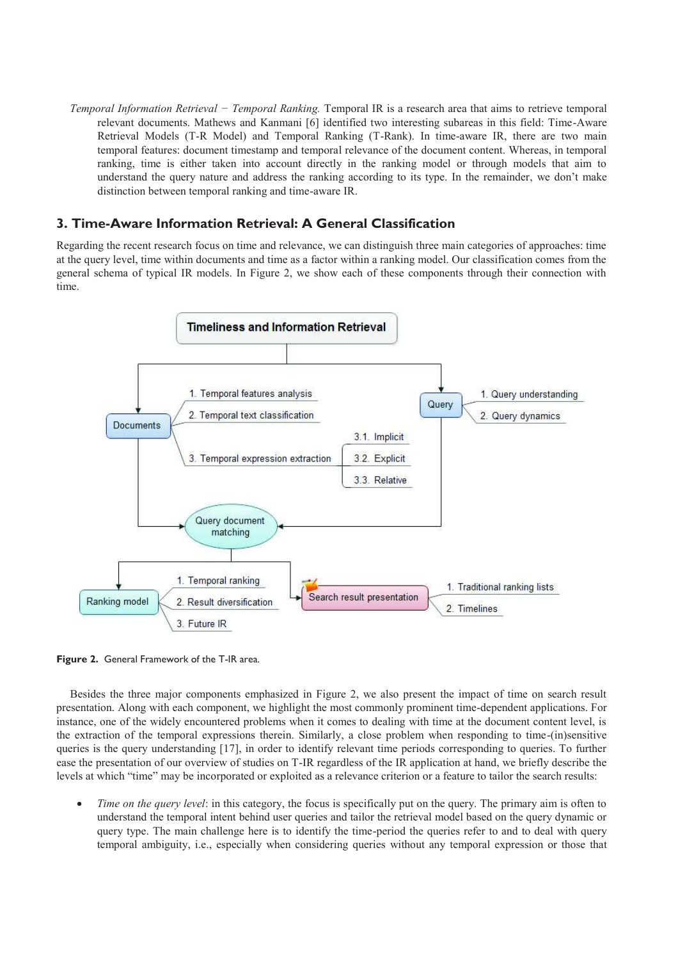*Temporal Information Retrieval − Temporal Ranking.* Temporal IR is a research area that aims to retrieve temporal relevant documents. Mathews and Kanmani [6] identified two interesting subareas in this field: Time-Aware Retrieval Models (T-R Model) and Temporal Ranking (T-Rank). In time-aware IR, there are two main temporal features: document timestamp and temporal relevance of the document content. Whereas, in temporal ranking, time is either taken into account directly in the ranking model or through models that aim to understand the query nature and address the ranking according to its type. In the remainder, we don't make distinction between temporal ranking and time-aware IR.

# **3. Time-Aware Information Retrieval: A General Classification**

Regarding the recent research focus on time and relevance, we can distinguish three main categories of approaches: time at the query level, time within documents and time as a factor within a ranking model. Our classification comes from the general schema of typical IR models. In Figure 2, we show each of these components through their connection with time.



**Figure 2.** General Framework of the T-IR area.

Besides the three major components emphasized in Figure 2, we also present the impact of time on search result presentation. Along with each component, we highlight the most commonly prominent time-dependent applications. For instance, one of the widely encountered problems when it comes to dealing with time at the document content level, is the extraction of the temporal expressions therein. Similarly, a close problem when responding to time-(in)sensitive queries is the query understanding [17], in order to identify relevant time periods corresponding to queries. To further ease the presentation of our overview of studies on T-IR regardless of the IR application at hand, we briefly describe the levels at which "time" may be incorporated or exploited as a relevance criterion or a feature to tailor the search results:

*Time on the query level*: in this category, the focus is specifically put on the query. The primary aim is often to understand the temporal intent behind user queries and tailor the retrieval model based on the query dynamic or query type. The main challenge here is to identify the time-period the queries refer to and to deal with query temporal ambiguity, i.e., especially when considering queries without any temporal expression or those that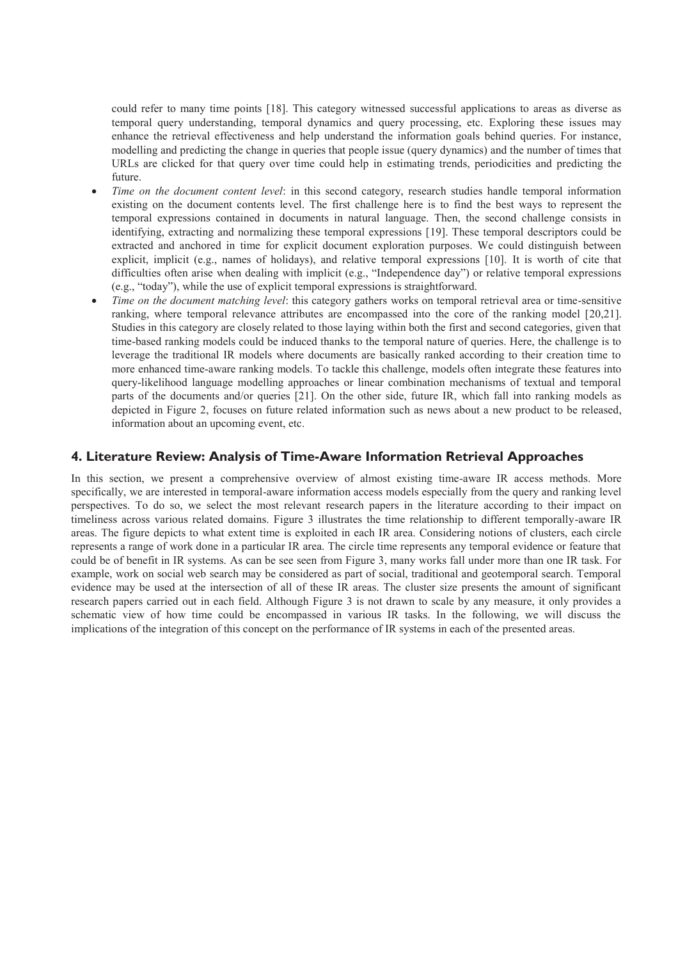could refer to many time points [18]. This category witnessed successful applications to areas as diverse as temporal query understanding, temporal dynamics and query processing, etc. Exploring these issues may enhance the retrieval effectiveness and help understand the information goals behind queries. For instance, modelling and predicting the change in queries that people issue (query dynamics) and the number of times that URLs are clicked for that query over time could help in estimating trends, periodicities and predicting the future.

- · *Time on the document content level*: in this second category, research studies handle temporal information existing on the document contents level. The first challenge here is to find the best ways to represent the temporal expressions contained in documents in natural language. Then, the second challenge consists in identifying, extracting and normalizing these temporal expressions [19]. These temporal descriptors could be extracted and anchored in time for explicit document exploration purposes. We could distinguish between explicit, implicit (e.g., names of holidays), and relative temporal expressions [10]. It is worth of cite that difficulties often arise when dealing with implicit (e.g., "Independence day") or relative temporal expressions (e.g., "today"), while the use of explicit temporal expressions is straightforward.
- · *Time on the document matching level*: this category gathers works on temporal retrieval area or time-sensitive ranking, where temporal relevance attributes are encompassed into the core of the ranking model [20,21]. Studies in this category are closely related to those laying within both the first and second categories, given that time-based ranking models could be induced thanks to the temporal nature of queries. Here, the challenge is to leverage the traditional IR models where documents are basically ranked according to their creation time to more enhanced time-aware ranking models. To tackle this challenge, models often integrate these features into query-likelihood language modelling approaches or linear combination mechanisms of textual and temporal parts of the documents and/or queries [21]. On the other side, future IR, which fall into ranking models as depicted in Figure 2, focuses on future related information such as news about a new product to be released, information about an upcoming event, etc.

## **4. Literature Review: Analysis of Time-Aware Information Retrieval Approaches**

In this section, we present a comprehensive overview of almost existing time-aware IR access methods. More specifically, we are interested in temporal-aware information access models especially from the query and ranking level perspectives. To do so, we select the most relevant research papers in the literature according to their impact on timeliness across various related domains. Figure 3 illustrates the time relationship to different temporally-aware IR areas. The figure depicts to what extent time is exploited in each IR area. Considering notions of clusters, each circle represents a range of work done in a particular IR area. The circle time represents any temporal evidence or feature that could be of benefit in IR systems. As can be see seen from Figure 3, many works fall under more than one IR task. For example, work on social web search may be considered as part of social, traditional and geotemporal search. Temporal evidence may be used at the intersection of all of these IR areas. The cluster size presents the amount of significant research papers carried out in each field. Although Figure 3 is not drawn to scale by any measure, it only provides a schematic view of how time could be encompassed in various IR tasks. In the following, we will discuss the implications of the integration of this concept on the performance of IR systems in each of the presented areas.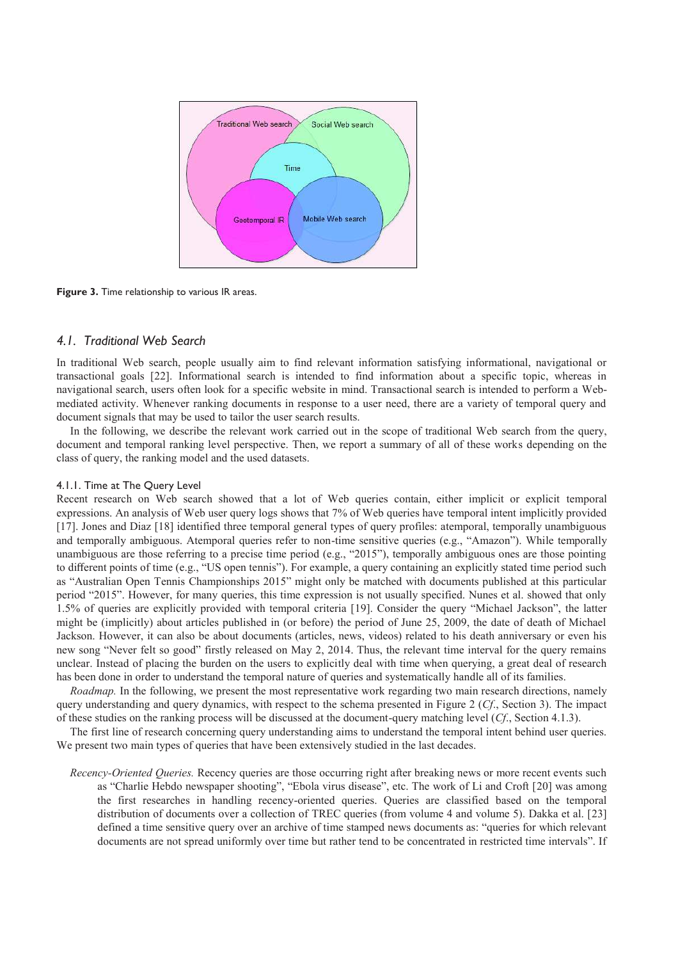

**Figure 3.** Time relationship to various IR areas.

#### *4.1. Traditional Web Search*

In traditional Web search, people usually aim to find relevant information satisfying informational, navigational or transactional goals [22]. Informational search is intended to find information about a specific topic, whereas in navigational search, users often look for a specific website in mind. Transactional search is intended to perform a Webmediated activity. Whenever ranking documents in response to a user need, there are a variety of temporal query and document signals that may be used to tailor the user search results.

In the following, we describe the relevant work carried out in the scope of traditional Web search from the query, document and temporal ranking level perspective. Then, we report a summary of all of these works depending on the class of query, the ranking model and the used datasets.

#### 4.1.1. Time at The Query Level

Recent research on Web search showed that a lot of Web queries contain, either implicit or explicit temporal expressions. An analysis of Web user query logs shows that 7% of Web queries have temporal intent implicitly provided [17]. Jones and Diaz [18] identified three temporal general types of query profiles: atemporal, temporally unambiguous and temporally ambiguous. Atemporal queries refer to non-time sensitive queries (e.g., "Amazon"). While temporally unambiguous are those referring to a precise time period (e.g., "2015"), temporally ambiguous ones are those pointing to different points of time (e.g., "US open tennis"). For example, a query containing an explicitly stated time period such as "Australian Open Tennis Championships 2015" might only be matched with documents published at this particular period "2015". However, for many queries, this time expression is not usually specified. Nunes et al. showed that only 1.5% of queries are explicitly provided with temporal criteria [19]. Consider the query "Michael Jackson", the latter might be (implicitly) about articles published in (or before) the period of June 25, 2009, the date of death of Michael Jackson. However, it can also be about documents (articles, news, videos) related to his death anniversary or even his new song "Never felt so good" firstly released on May 2, 2014. Thus, the relevant time interval for the query remains unclear. Instead of placing the burden on the users to explicitly deal with time when querying, a great deal of research has been done in order to understand the temporal nature of queries and systematically handle all of its families.

*Roadmap.* In the following, we present the most representative work regarding two main research directions, namely query understanding and query dynamics, with respect to the schema presented in Figure 2 (*Cf*., Section 3). The impact of these studies on the ranking process will be discussed at the document-query matching level (*Cf*., Section 4.1.3).

The first line of research concerning query understanding aims to understand the temporal intent behind user queries. We present two main types of queries that have been extensively studied in the last decades.

*Recency-Oriented Queries.* Recency queries are those occurring right after breaking news or more recent events such as "Charlie Hebdo newspaper shooting", "Ebola virus disease", etc. The work of Li and Croft [20] was among the first researches in handling recency-oriented queries. Queries are classified based on the temporal distribution of documents over a collection of TREC queries (from volume 4 and volume 5). Dakka et al. [23] defined a time sensitive query over an archive of time stamped news documents as: "queries for which relevant documents are not spread uniformly over time but rather tend to be concentrated in restricted time intervals". If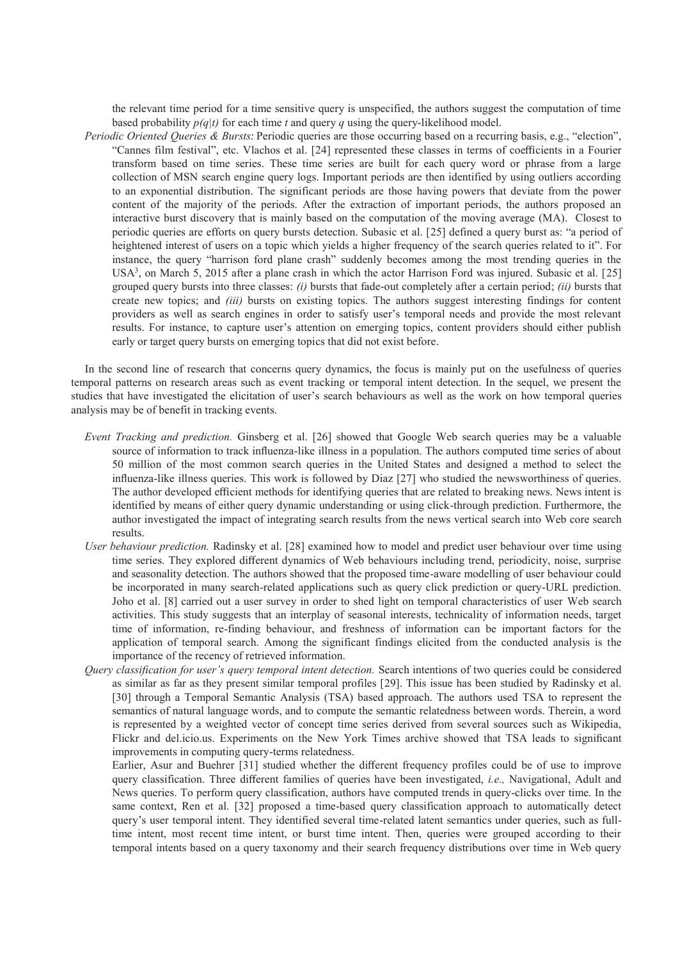the relevant time period for a time sensitive query is unspecified, the authors suggest the computation of time based probability  $p(q|t)$  for each time *t* and query *q* using the query-likelihood model.

*Periodic Oriented Queries & Bursts*: Periodic queries are those occurring based on a recurring basis, e.g., "election", "Cannes film festival", etc. Vlachos et al. [24] represented these classes in terms of coefficients in a Fourier transform based on time series. These time series are built for each query word or phrase from a large collection of MSN search engine query logs. Important periods are then identified by using outliers according to an exponential distribution. The significant periods are those having powers that deviate from the power content of the majority of the periods. After the extraction of important periods, the authors proposed an interactive burst discovery that is mainly based on the computation of the moving average (MA). Closest to periodic queries are efforts on query bursts detection. Subasic et al. [25] defined a query burst as: "a period of heightened interest of users on a topic which yields a higher frequency of the search queries related to it". For instance, the query "harrison ford plane crash" suddenly becomes among the most trending queries in the USA<sup>3</sup> , on March 5, 2015 after a plane crash in which the actor Harrison Ford was injured. Subasic et al. [25] grouped query bursts into three classes: *(i)* bursts that fade-out completely after a certain period; *(ii)* bursts that create new topics; and *(iii)* bursts on existing topics. The authors suggest interesting findings for content providers as well as search engines in order to satisfy user's temporal needs and provide the most relevant results. For instance, to capture user's attention on emerging topics, content providers should either publish early or target query bursts on emerging topics that did not exist before.

In the second line of research that concerns query dynamics, the focus is mainly put on the usefulness of queries temporal patterns on research areas such as event tracking or temporal intent detection. In the sequel, we present the studies that have investigated the elicitation of user's search behaviours as well as the work on how temporal queries analysis may be of benefit in tracking events.

- *Event Tracking and prediction.* Ginsberg et al. [26] showed that Google Web search queries may be a valuable source of information to track influenza-like illness in a population. The authors computed time series of about 50 million of the most common search queries in the United States and designed a method to select the influenza-like illness queries. This work is followed by Diaz [27] who studied the newsworthiness of queries. The author developed efficient methods for identifying queries that are related to breaking news. News intent is identified by means of either query dynamic understanding or using click-through prediction. Furthermore, the author investigated the impact of integrating search results from the news vertical search into Web core search results.
- *User behaviour prediction.* Radinsky et al. [28] examined how to model and predict user behaviour over time using time series. They explored different dynamics of Web behaviours including trend, periodicity, noise, surprise and seasonality detection. The authors showed that the proposed time-aware modelling of user behaviour could be incorporated in many search-related applications such as query click prediction or query-URL prediction. Joho et al. [8] carried out a user survey in order to shed light on temporal characteristics of user Web search activities. This study suggests that an interplay of seasonal interests, technicality of information needs, target time of information, re-finding behaviour, and freshness of information can be important factors for the application of temporal search. Among the significant findings elicited from the conducted analysis is the importance of the recency of retrieved information.
- *Query classification for user's query temporal intent detection.* Search intentions of two queries could be considered as similar as far as they present similar temporal profiles [29]. This issue has been studied by Radinsky et al. [30] through a Temporal Semantic Analysis (TSA) based approach. The authors used TSA to represent the semantics of natural language words, and to compute the semantic relatedness between words. Therein, a word is represented by a weighted vector of concept time series derived from several sources such as Wikipedia, Flickr and del.icio.us. Experiments on the New York Times archive showed that TSA leads to significant improvements in computing query-terms relatedness.

Earlier, Asur and Buehrer [31] studied whether the different frequency profiles could be of use to improve query classification. Three different families of queries have been investigated, *i.e.*, Navigational, Adult and News queries. To perform query classification, authors have computed trends in query-clicks over time. In the same context, Ren et al. [32] proposed a time-based query classification approach to automatically detect query's user temporal intent. They identified several time-related latent semantics under queries, such as fulltime intent, most recent time intent, or burst time intent. Then, queries were grouped according to their temporal intents based on a query taxonomy and their search frequency distributions over time in Web query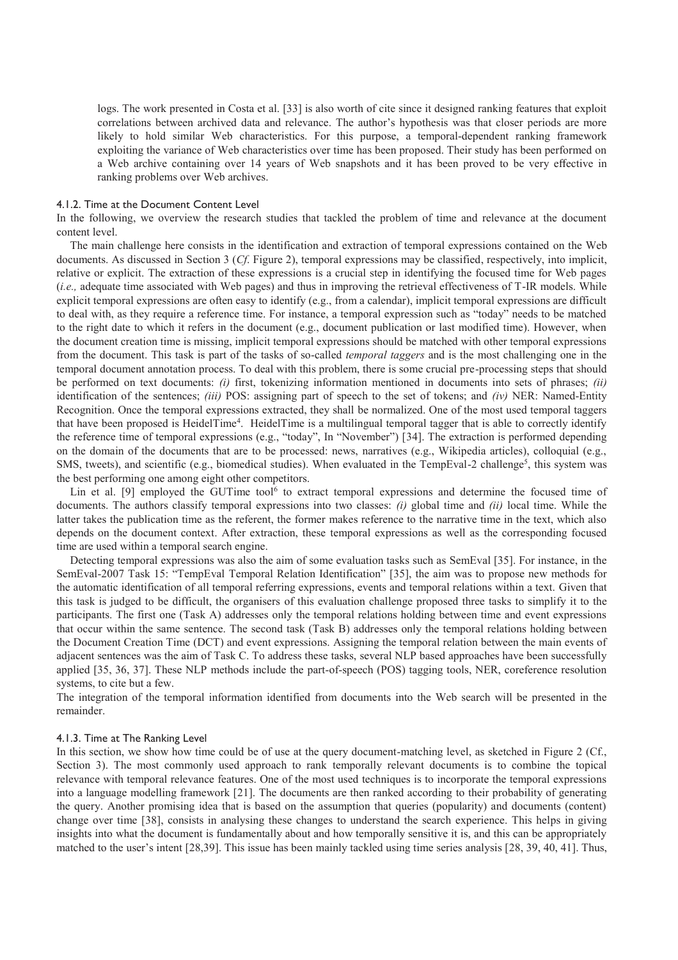logs. The work presented in Costa et al. [33] is also worth of cite since it designed ranking features that exploit correlations between archived data and relevance. The author's hypothesis was that closer periods are more likely to hold similar Web characteristics. For this purpose, a temporal-dependent ranking framework exploiting the variance of Web characteristics over time has been proposed. Their study has been performed on a Web archive containing over 14 years of Web snapshots and it has been proved to be very effective in ranking problems over Web archives.

## 4.1.2. Time at the Document Content Level

In the following, we overview the research studies that tackled the problem of time and relevance at the document content level.

The main challenge here consists in the identification and extraction of temporal expressions contained on the Web documents. As discussed in Section 3 (*Cf*. Figure 2), temporal expressions may be classified, respectively, into implicit, relative or explicit. The extraction of these expressions is a crucial step in identifying the focused time for Web pages (*i.e.,* adequate time associated with Web pages) and thus in improving the retrieval effectiveness of T-IR models. While explicit temporal expressions are often easy to identify (e.g., from a calendar), implicit temporal expressions are difficult to deal with, as they require a reference time. For instance, a temporal expression such as "today" needs to be matched to the right date to which it refers in the document (e.g., document publication or last modified time). However, when the document creation time is missing, implicit temporal expressions should be matched with other temporal expressions from the document. This task is part of the tasks of so-called *temporal taggers* and is the most challenging one in the temporal document annotation process. To deal with this problem, there is some crucial pre-processing steps that should be performed on text documents: *(i)* first, tokenizing information mentioned in documents into sets of phrases; *(ii)* identification of the sentences; *(iii)* POS: assigning part of speech to the set of tokens; and *(iv)* NER: Named-Entity Recognition. Once the temporal expressions extracted, they shall be normalized. One of the most used temporal taggers that have been proposed is HeidelTime<sup>4</sup>. HeidelTime is a multilingual temporal tagger that is able to correctly identify the reference time of temporal expressions (e.g., "today", In "November") [34]. The extraction is performed depending on the domain of the documents that are to be processed: news, narratives (e.g., Wikipedia articles), colloquial (e.g., SMS, tweets), and scientific (e.g., biomedical studies). When evaluated in the TempEval-2 challenge<sup>5</sup>, this system was the best performing one among eight other competitors.

Lin et al. [9] employed the GUTime tool<sup>6</sup> to extract temporal expressions and determine the focused time of documents. The authors classify temporal expressions into two classes: *(i)* global time and *(ii)* local time. While the latter takes the publication time as the referent, the former makes reference to the narrative time in the text, which also depends on the document context. After extraction, these temporal expressions as well as the corresponding focused time are used within a temporal search engine.

Detecting temporal expressions was also the aim of some evaluation tasks such as SemEval [35]. For instance, in the SemEval-2007 Task 15: "TempEval Temporal Relation Identification" [35], the aim was to propose new methods for the automatic identification of all temporal referring expressions, events and temporal relations within a text. Given that this task is judged to be difficult, the organisers of this evaluation challenge proposed three tasks to simplify it to the participants. The first one (Task A) addresses only the temporal relations holding between time and event expressions that occur within the same sentence. The second task (Task B) addresses only the temporal relations holding between the Document Creation Time (DCT) and event expressions. Assigning the temporal relation between the main events of adjacent sentences was the aim of Task C. To address these tasks, several NLP based approaches have been successfully applied [35, 36, 37]. These NLP methods include the part-of-speech (POS) tagging tools, NER, coreference resolution systems, to cite but a few.

The integration of the temporal information identified from documents into the Web search will be presented in the remainder.

#### 4.1.3. Time at The Ranking Level

In this section, we show how time could be of use at the query document-matching level, as sketched in Figure 2 (Cf., Section 3). The most commonly used approach to rank temporally relevant documents is to combine the topical relevance with temporal relevance features. One of the most used techniques is to incorporate the temporal expressions into a language modelling framework [21]. The documents are then ranked according to their probability of generating the query. Another promising idea that is based on the assumption that queries (popularity) and documents (content) change over time [38], consists in analysing these changes to understand the search experience. This helps in giving insights into what the document is fundamentally about and how temporally sensitive it is, and this can be appropriately matched to the user's intent [28,39]. This issue has been mainly tackled using time series analysis [28, 39, 40, 41]. Thus,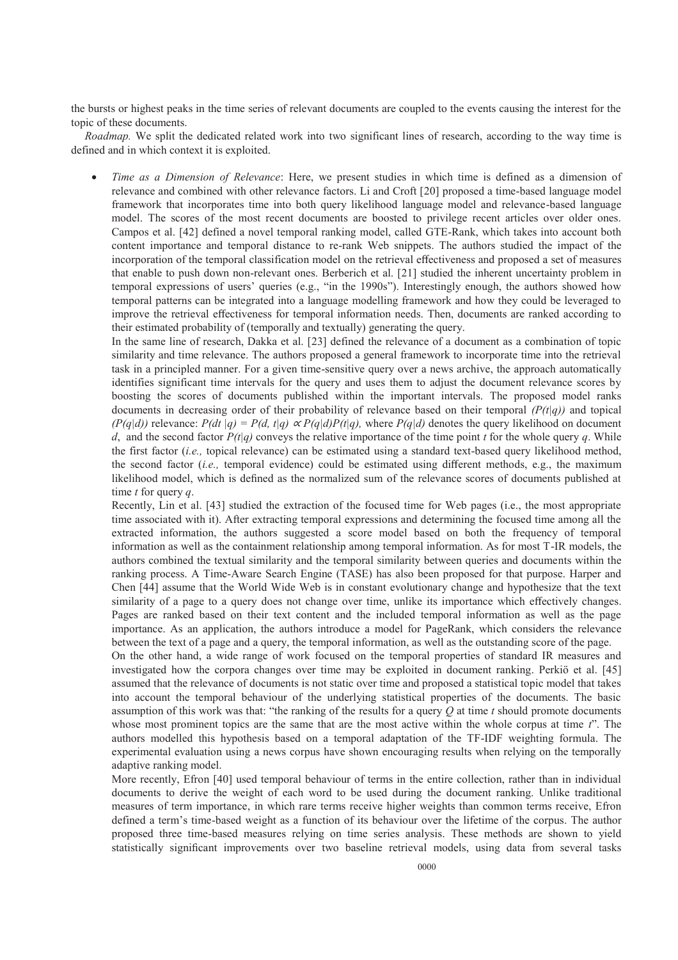the bursts or highest peaks in the time series of relevant documents are coupled to the events causing the interest for the topic of these documents.

*Roadmap.* We split the dedicated related work into two significant lines of research, according to the way time is defined and in which context it is exploited.

*Time as a Dimension of Relevance*: Here, we present studies in which time is defined as a dimension of relevance and combined with other relevance factors. Li and Croft [20] proposed a time-based language model framework that incorporates time into both query likelihood language model and relevance-based language model. The scores of the most recent documents are boosted to privilege recent articles over older ones. Campos et al. [42] defined a novel temporal ranking model, called GTE-Rank, which takes into account both content importance and temporal distance to re-rank Web snippets. The authors studied the impact of the incorporation of the temporal classification model on the retrieval effectiveness and proposed a set of measures that enable to push down non-relevant ones. Berberich et al. [21] studied the inherent uncertainty problem in temporal expressions of users' queries (e.g., "in the 1990s"). Interestingly enough, the authors showed how temporal patterns can be integrated into a language modelling framework and how they could be leveraged to improve the retrieval effectiveness for temporal information needs. Then, documents are ranked according to their estimated probability of (temporally and textually) generating the query.

In the same line of research, Dakka et al. [23] defined the relevance of a document as a combination of topic similarity and time relevance. The authors proposed a general framework to incorporate time into the retrieval task in a principled manner. For a given time-sensitive query over a news archive, the approach automatically identifies significant time intervals for the query and uses them to adjust the document relevance scores by boosting the scores of documents published within the important intervals. The proposed model ranks documents in decreasing order of their probability of relevance based on their temporal *(P(t|q))* and topical  $(P(q|d))$  relevance:  $P(dt|q) = P(d, t|q) \propto P(q|d)P(t|q)$ , where  $P(q|d)$  denotes the query likelihood on document *d*, and the second factor  $P(t|q)$  conveys the relative importance of the time point *t* for the whole query *q*. While the first factor (*i.e.,* topical relevance) can be estimated using a standard text-based query likelihood method, the second factor (*i.e.*, temporal evidence) could be estimated using different methods, e.g., the maximum likelihood model, which is defined as the normalized sum of the relevance scores of documents published at time *t* for query *q*.

Recently, Lin et al. [43] studied the extraction of the focused time for Web pages (i.e., the most appropriate time associated with it). After extracting temporal expressions and determining the focused time among all the extracted information, the authors suggested a score model based on both the frequency of temporal information as well as the containment relationship among temporal information. As for most T-IR models, the authors combined the textual similarity and the temporal similarity between queries and documents within the ranking process. A Time-Aware Search Engine (TASE) has also been proposed for that purpose. Harper and Chen [44] assume that the World Wide Web is in constant evolutionary change and hypothesize that the text similarity of a page to a query does not change over time, unlike its importance which effectively changes. Pages are ranked based on their text content and the included temporal information as well as the page importance. As an application, the authors introduce a model for PageRank, which considers the relevance between the text of a page and a query, the temporal information, as well as the outstanding score of the page.

On the other hand, a wide range of work focused on the temporal properties of standard IR measures and investigated how the corpora changes over time may be exploited in document ranking. Perkiö et al. [45] assumed that the relevance of documents is not static over time and proposed a statistical topic model that takes into account the temporal behaviour of the underlying statistical properties of the documents. The basic assumption of this work was that: "the ranking of the results for a query *Q* at time *t* should promote documents whose most prominent topics are the same that are the most active within the whole corpus at time *t*". The authors modelled this hypothesis based on a temporal adaptation of the TF-IDF weighting formula. The experimental evaluation using a news corpus have shown encouraging results when relying on the temporally adaptive ranking model.

More recently, Efron [40] used temporal behaviour of terms in the entire collection, rather than in individual documents to derive the weight of each word to be used during the document ranking. Unlike traditional measures of term importance, in which rare terms receive higher weights than common terms receive, Efron defined a term's time-based weight as a function of its behaviour over the lifetime of the corpus. The author proposed three time-based measures relying on time series analysis. These methods are shown to yield statistically significant improvements over two baseline retrieval models, using data from several tasks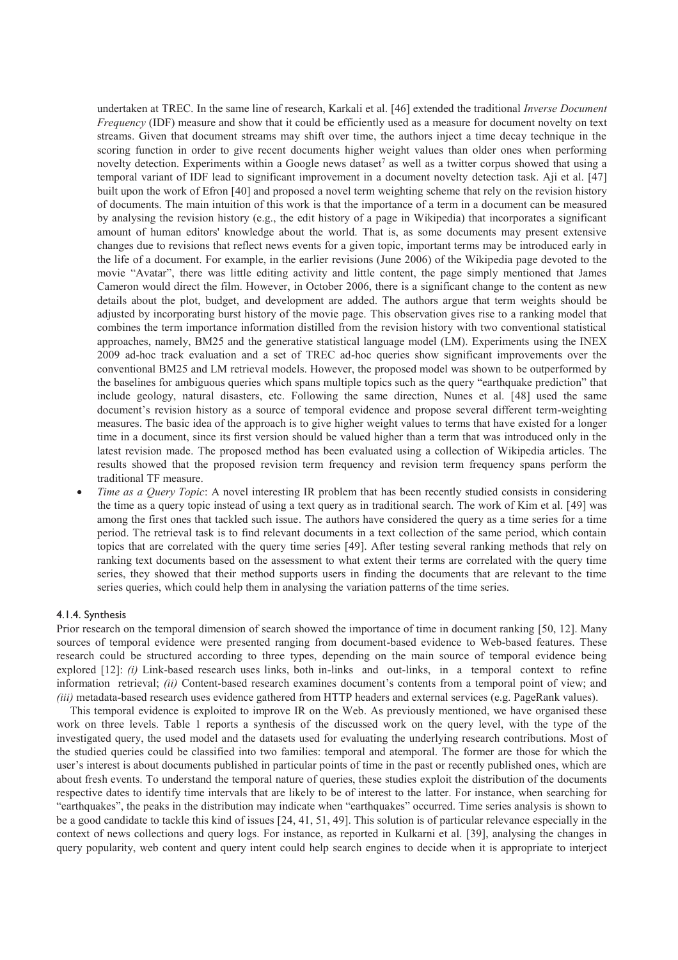undertaken at TREC. In the same line of research, Karkali et al. [46] extended the traditional *Inverse Document Frequency* (IDF) measure and show that it could be efficiently used as a measure for document novelty on text streams. Given that document streams may shift over time, the authors inject a time decay technique in the scoring function in order to give recent documents higher weight values than older ones when performing novelty detection. Experiments within a Google news dataset<sup>7</sup> as well as a twitter corpus showed that using a temporal variant of IDF lead to significant improvement in a document novelty detection task. Aji et al. [47] built upon the work of Efron [40] and proposed a novel term weighting scheme that rely on the revision history of documents. The main intuition of this work is that the importance of a term in a document can be measured by analysing the revision history (e.g., the edit history of a page in Wikipedia) that incorporates a significant amount of human editors' knowledge about the world. That is, as some documents may present extensive changes due to revisions that reflect news events for a given topic, important terms may be introduced early in the life of a document. For example, in the earlier revisions (June 2006) of the Wikipedia page devoted to the movie "Avatar", there was little editing activity and little content, the page simply mentioned that James Cameron would direct the film. However, in October 2006, there is a significant change to the content as new details about the plot, budget, and development are added. The authors argue that term weights should be adjusted by incorporating burst history of the movie page. This observation gives rise to a ranking model that combines the term importance information distilled from the revision history with two conventional statistical approaches, namely, BM25 and the generative statistical language model (LM). Experiments using the INEX 2009 ad-hoc track evaluation and a set of TREC ad-hoc queries show significant improvements over the conventional BM25 and LM retrieval models. However, the proposed model was shown to be outperformed by the baselines for ambiguous queries which spans multiple topics such as the query "earthquake prediction" that include geology, natural disasters, etc. Following the same direction, Nunes et al. [48] used the same document's revision history as a source of temporal evidence and propose several different term-weighting measures. The basic idea of the approach is to give higher weight values to terms that have existed for a longer time in a document, since its first version should be valued higher than a term that was introduced only in the latest revision made. The proposed method has been evaluated using a collection of Wikipedia articles. The results showed that the proposed revision term frequency and revision term frequency spans perform the traditional TF measure.

*Time as a Query Topic*: A novel interesting IR problem that has been recently studied consists in considering the time as a query topic instead of using a text query as in traditional search. The work of Kim et al. [49] was among the first ones that tackled such issue. The authors have considered the query as a time series for a time period. The retrieval task is to find relevant documents in a text collection of the same period, which contain topics that are correlated with the query time series [49]. After testing several ranking methods that rely on ranking text documents based on the assessment to what extent their terms are correlated with the query time series, they showed that their method supports users in finding the documents that are relevant to the time series queries, which could help them in analysing the variation patterns of the time series.

## 4.1.4. Synthesis

Prior research on the temporal dimension of search showed the importance of time in document ranking [50, 12]. Many sources of temporal evidence were presented ranging from document-based evidence to Web-based features. These research could be structured according to three types, depending on the main source of temporal evidence being explored [12]: *(i)* Link-based research uses links, both in-links and out-links, in a temporal context to refine information retrieval; *(ii)* Content-based research examines document's contents from a temporal point of view; and *(iii)* metadata-based research uses evidence gathered from HTTP headers and external services (e.g. PageRank values).

This temporal evidence is exploited to improve IR on the Web. As previously mentioned, we have organised these work on three levels. Table 1 reports a synthesis of the discussed work on the query level, with the type of the investigated query, the used model and the datasets used for evaluating the underlying research contributions. Most of the studied queries could be classified into two families: temporal and atemporal. The former are those for which the user's interest is about documents published in particular points of time in the past or recently published ones, which are about fresh events. To understand the temporal nature of queries, these studies exploit the distribution of the documents respective dates to identify time intervals that are likely to be of interest to the latter. For instance, when searching for "earthquakes", the peaks in the distribution may indicate when "earthquakes" occurred. Time series analysis is shown to be a good candidate to tackle this kind of issues [24, 41, 51, 49]. This solution is of particular relevance especially in the context of news collections and query logs. For instance, as reported in Kulkarni et al. [39], analysing the changes in query popularity, web content and query intent could help search engines to decide when it is appropriate to interject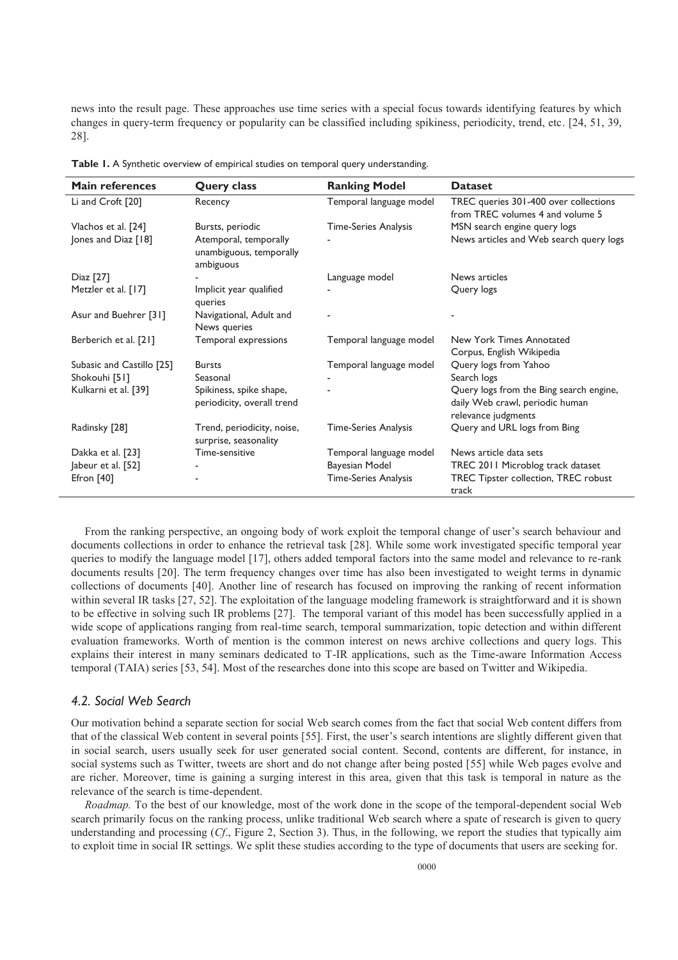news into the result page. These approaches use time series with a special focus towards identifying features by which changes in query-term frequency or popularity can be classified including spikiness, periodicity, trend, etc. [24, 51, 39, 28].

| <b>Main references</b>    | <b>Query class</b>                                            | <b>Ranking Model</b>        | <b>Dataset</b>                                                                                    |
|---------------------------|---------------------------------------------------------------|-----------------------------|---------------------------------------------------------------------------------------------------|
| Li and Croft [20]         | Recency                                                       | Temporal language model     | TREC queries 301-400 over collections<br>from TREC volumes 4 and volume 5                         |
| Vlachos et al. [24]       | Bursts, periodic                                              | <b>Time-Series Analysis</b> | MSN search engine query logs                                                                      |
| Jones and Diaz [18]       | Atemporal, temporally<br>unambiguous, temporally<br>ambiguous |                             | News articles and Web search query logs                                                           |
| Diaz [27]                 |                                                               | Language model              | News articles                                                                                     |
| Metzler et al. [17]       | Implicit year qualified<br>queries                            |                             | Query logs                                                                                        |
| Asur and Buehrer [31]     | Navigational, Adult and<br>News queries                       |                             |                                                                                                   |
| Berberich et al. [21]     | Temporal expressions                                          | Temporal language model     | New York Times Annotated<br>Corpus, English Wikipedia                                             |
| Subasic and Castillo [25] | <b>Bursts</b>                                                 | Temporal language model     | Query logs from Yahoo                                                                             |
| Shokouhi [51]             | Seasonal                                                      |                             | Search logs                                                                                       |
| Kulkarni et al. [39]      | Spikiness, spike shape,<br>periodicity, overall trend         |                             | Query logs from the Bing search engine,<br>daily Web crawl, periodic human<br>relevance judgments |
| Radinsky [28]             | Trend, periodicity, noise,<br>surprise, seasonality           | <b>Time-Series Analysis</b> | Query and URL logs from Bing                                                                      |
| Dakka et al. [23]         | Time-sensitive                                                | Temporal language model     | News article data sets                                                                            |
| Jabeur et al. [52]        |                                                               | Bayesian Model              | TREC 2011 Microblog track dataset                                                                 |
| <b>Efron</b> [40]         |                                                               | Time-Series Analysis        | TREC Tipster collection, TREC robust<br>track                                                     |

**Table 1.** A Synthetic overview of empirical studies on temporal query understanding.

From the ranking perspective, an ongoing body of work exploit the temporal change of user's search behaviour and documents collections in order to enhance the retrieval task [28]. While some work investigated specific temporal year queries to modify the language model [17], others added temporal factors into the same model and relevance to re-rank documents results [20]. The term frequency changes over time has also been investigated to weight terms in dynamic collections of documents [40]. Another line of research has focused on improving the ranking of recent information within several IR tasks [27, 52]. The exploitation of the language modeling framework is straightforward and it is shown to be effective in solving such IR problems [27]. The temporal variant of this model has been successfully applied in a wide scope of applications ranging from real-time search, temporal summarization, topic detection and within different evaluation frameworks. Worth of mention is the common interest on news archive collections and query logs. This explains their interest in many seminars dedicated to T-IR applications, such as the Time-aware Information Access temporal (TAIA) series [53, 54]. Most of the researches done into this scope are based on Twitter and Wikipedia.

## *4.2. Social Web Search*

Our motivation behind a separate section for social Web search comes from the fact that social Web content differs from that of the classical Web content in several points [55]. First, the user's search intentions are slightly different given that in social search, users usually seek for user generated social content. Second, contents are different, for instance, in social systems such as Twitter, tweets are short and do not change after being posted [55] while Web pages evolve and are richer. Moreover, time is gaining a surging interest in this area, given that this task is temporal in nature as the relevance of the search is time-dependent.

*Roadmap.* To the best of our knowledge, most of the work done in the scope of the temporal-dependent social Web search primarily focus on the ranking process, unlike traditional Web search where a spate of research is given to query understanding and processing (*Cf*., Figure 2, Section 3). Thus, in the following, we report the studies that typically aim to exploit time in social IR settings. We split these studies according to the type of documents that users are seeking for.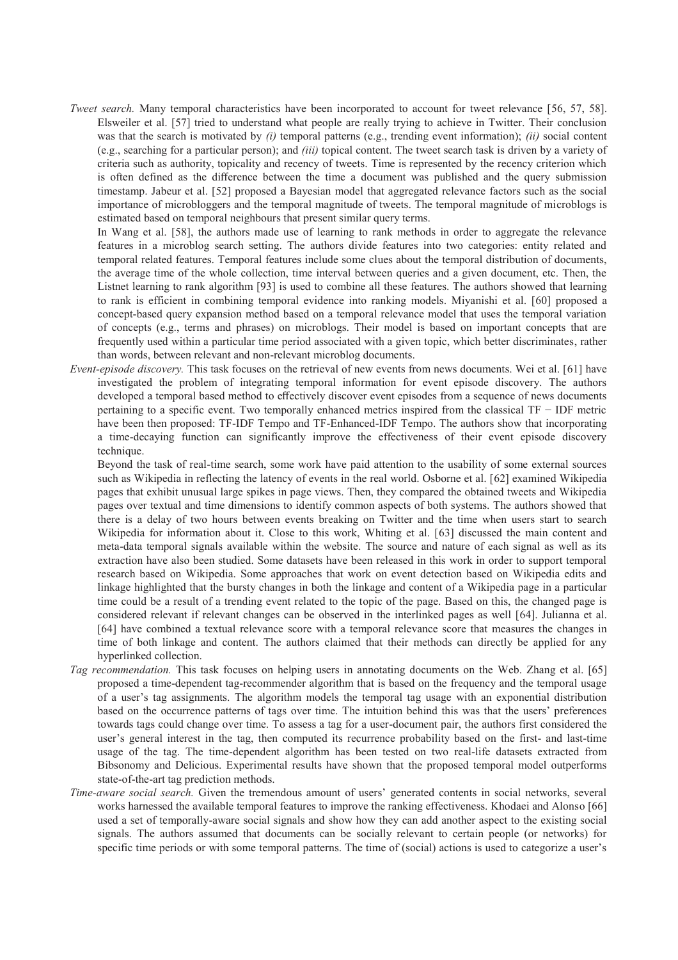*Tweet search.* Many temporal characteristics have been incorporated to account for tweet relevance [56, 57, 58]. Elsweiler et al. [57] tried to understand what people are really trying to achieve in Twitter. Their conclusion was that the search is motivated by *(i)* temporal patterns (e.g., trending event information); *(ii)* social content (e.g., searching for a particular person); and *(iii)* topical content. The tweet search task is driven by a variety of criteria such as authority, topicality and recency of tweets. Time is represented by the recency criterion which is often defined as the difference between the time a document was published and the query submission timestamp. Jabeur et al. [52] proposed a Bayesian model that aggregated relevance factors such as the social importance of microbloggers and the temporal magnitude of tweets. The temporal magnitude of microblogs is estimated based on temporal neighbours that present similar query terms.

In Wang et al. [58], the authors made use of learning to rank methods in order to aggregate the relevance features in a microblog search setting. The authors divide features into two categories: entity related and temporal related features. Temporal features include some clues about the temporal distribution of documents, the average time of the whole collection, time interval between queries and a given document, etc. Then, the Listnet learning to rank algorithm [93] is used to combine all these features. The authors showed that learning to rank is efficient in combining temporal evidence into ranking models. Miyanishi et al. [60] proposed a concept-based query expansion method based on a temporal relevance model that uses the temporal variation of concepts (e.g., terms and phrases) on microblogs. Their model is based on important concepts that are frequently used within a particular time period associated with a given topic, which better discriminates, rather than words, between relevant and non-relevant microblog documents.

*Event-episode discovery.* This task focuses on the retrieval of new events from news documents. Wei et al. [61] have investigated the problem of integrating temporal information for event episode discovery. The authors developed a temporal based method to effectively discover event episodes from a sequence of news documents pertaining to a specific event. Two temporally enhanced metrics inspired from the classical TF − IDF metric have been then proposed: TF-IDF Tempo and TF-Enhanced-IDF Tempo. The authors show that incorporating a time-decaying function can significantly improve the effectiveness of their event episode discovery technique.

Beyond the task of real-time search, some work have paid attention to the usability of some external sources such as Wikipedia in reflecting the latency of events in the real world. Osborne et al. [62] examined Wikipedia pages that exhibit unusual large spikes in page views. Then, they compared the obtained tweets and Wikipedia pages over textual and time dimensions to identify common aspects of both systems. The authors showed that there is a delay of two hours between events breaking on Twitter and the time when users start to search Wikipedia for information about it. Close to this work, Whiting et al. [63] discussed the main content and meta-data temporal signals available within the website. The source and nature of each signal as well as its extraction have also been studied. Some datasets have been released in this work in order to support temporal research based on Wikipedia. Some approaches that work on event detection based on Wikipedia edits and linkage highlighted that the bursty changes in both the linkage and content of a Wikipedia page in a particular time could be a result of a trending event related to the topic of the page. Based on this, the changed page is considered relevant if relevant changes can be observed in the interlinked pages as well [64]. Julianna et al. [64] have combined a textual relevance score with a temporal relevance score that measures the changes in time of both linkage and content. The authors claimed that their methods can directly be applied for any hyperlinked collection.

- *Tag recommendation.* This task focuses on helping users in annotating documents on the Web. Zhang et al. [65] proposed a time-dependent tag-recommender algorithm that is based on the frequency and the temporal usage of a user's tag assignments. The algorithm models the temporal tag usage with an exponential distribution based on the occurrence patterns of tags over time. The intuition behind this was that the users' preferences towards tags could change over time. To assess a tag for a user-document pair, the authors first considered the user's general interest in the tag, then computed its recurrence probability based on the first- and last-time usage of the tag. The time-dependent algorithm has been tested on two real-life datasets extracted from Bibsonomy and Delicious. Experimental results have shown that the proposed temporal model outperforms state-of-the-art tag prediction methods.
- *Time-aware social search.* Given the tremendous amount of users' generated contents in social networks, several works harnessed the available temporal features to improve the ranking effectiveness. Khodaei and Alonso [66] used a set of temporally-aware social signals and show how they can add another aspect to the existing social signals. The authors assumed that documents can be socially relevant to certain people (or networks) for specific time periods or with some temporal patterns. The time of (social) actions is used to categorize a user's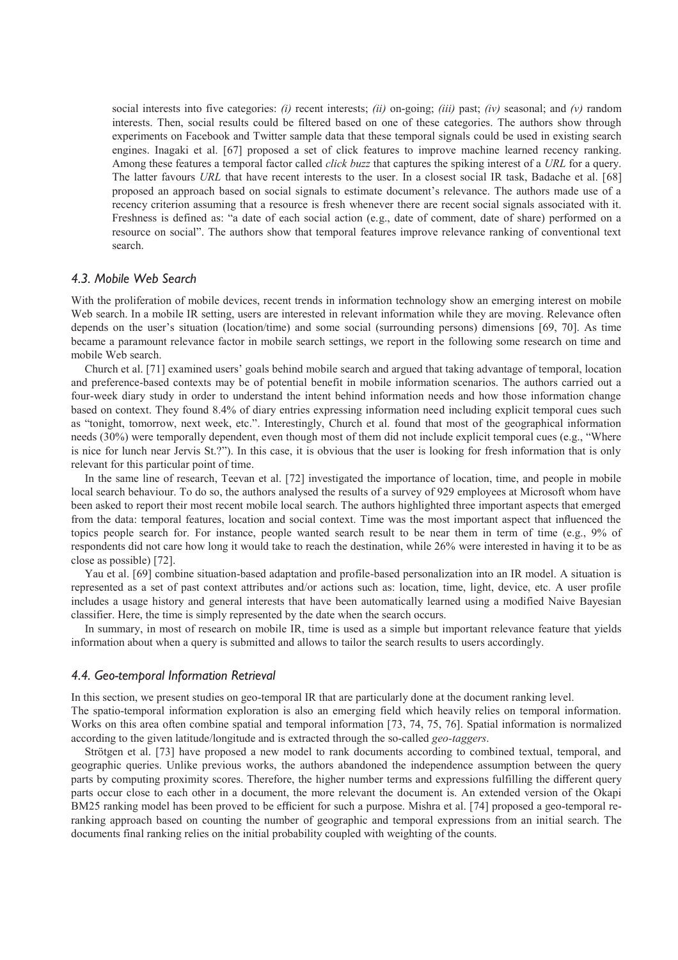social interests into five categories: *(i)* recent interests; *(ii)* on-going; *(iii)* past; *(iv)* seasonal; and *(v)* random interests. Then, social results could be filtered based on one of these categories. The authors show through experiments on Facebook and Twitter sample data that these temporal signals could be used in existing search engines. Inagaki et al. [67] proposed a set of click features to improve machine learned recency ranking. Among these features a temporal factor called *click buzz* that captures the spiking interest of a *URL* for a query. The latter favours *URL* that have recent interests to the user. In a closest social IR task, Badache et al. [68] proposed an approach based on social signals to estimate document's relevance. The authors made use of a recency criterion assuming that a resource is fresh whenever there are recent social signals associated with it. Freshness is defined as: "a date of each social action (e.g., date of comment, date of share) performed on a resource on social". The authors show that temporal features improve relevance ranking of conventional text search.

#### *4.3. Mobile Web Search*

With the proliferation of mobile devices, recent trends in information technology show an emerging interest on mobile Web search. In a mobile IR setting, users are interested in relevant information while they are moving. Relevance often depends on the user's situation (location/time) and some social (surrounding persons) dimensions [69, 70]. As time became a paramount relevance factor in mobile search settings, we report in the following some research on time and mobile Web search.

Church et al. [71] examined users' goals behind mobile search and argued that taking advantage of temporal, location and preference-based contexts may be of potential benefit in mobile information scenarios. The authors carried out a four-week diary study in order to understand the intent behind information needs and how those information change based on context. They found 8.4% of diary entries expressing information need including explicit temporal cues such as "tonight, tomorrow, next week, etc.". Interestingly, Church et al. found that most of the geographical information needs (30%) were temporally dependent, even though most of them did not include explicit temporal cues (e.g., "Where is nice for lunch near Jervis St.?"). In this case, it is obvious that the user is looking for fresh information that is only relevant for this particular point of time.

In the same line of research, Teevan et al. [72] investigated the importance of location, time, and people in mobile local search behaviour. To do so, the authors analysed the results of a survey of 929 employees at Microsoft whom have been asked to report their most recent mobile local search. The authors highlighted three important aspects that emerged from the data: temporal features, location and social context. Time was the most important aspect that influenced the topics people search for. For instance, people wanted search result to be near them in term of time (e.g., 9% of respondents did not care how long it would take to reach the destination, while 26% were interested in having it to be as close as possible) [72].

Yau et al. [69] combine situation-based adaptation and profile-based personalization into an IR model. A situation is represented as a set of past context attributes and/or actions such as: location, time, light, device, etc. A user profile includes a usage history and general interests that have been automatically learned using a modified Naive Bayesian classifier. Here, the time is simply represented by the date when the search occurs.

In summary, in most of research on mobile IR, time is used as a simple but important relevance feature that yields information about when a query is submitted and allows to tailor the search results to users accordingly.

#### *4.4. Geo-temporal Information Retrieval*

In this section, we present studies on geo-temporal IR that are particularly done at the document ranking level. The spatio-temporal information exploration is also an emerging field which heavily relies on temporal information. Works on this area often combine spatial and temporal information [73, 74, 75, 76]. Spatial information is normalized according to the given latitude/longitude and is extracted through the so-called *geo-taggers*.

Strötgen et al. [73] have proposed a new model to rank documents according to combined textual, temporal, and geographic queries. Unlike previous works, the authors abandoned the independence assumption between the query parts by computing proximity scores. Therefore, the higher number terms and expressions fulfilling the different query parts occur close to each other in a document, the more relevant the document is. An extended version of the Okapi BM25 ranking model has been proved to be efficient for such a purpose. Mishra et al. [74] proposed a geo-temporal reranking approach based on counting the number of geographic and temporal expressions from an initial search. The documents final ranking relies on the initial probability coupled with weighting of the counts.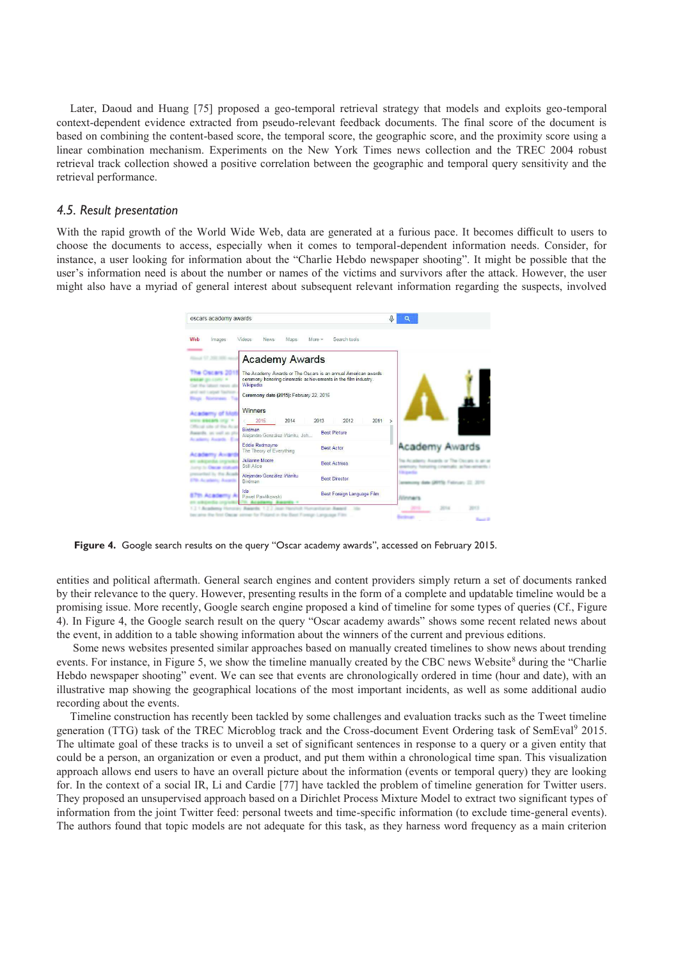Later, Daoud and Huang [75] proposed a geo-temporal retrieval strategy that models and exploits geo-temporal context-dependent evidence extracted from pseudo-relevant feedback documents. The final score of the document is based on combining the content-based score, the temporal score, the geographic score, and the proximity score using a linear combination mechanism. Experiments on the New York Times news collection and the TREC 2004 robust retrieval track collection showed a positive correlation between the geographic and temporal query sensitivity and the retrieval performance.

#### *4.5. Result presentation*

With the rapid growth of the World Wide Web, data are generated at a furious pace. It becomes difficult to users to choose the documents to access, especially when it comes to temporal-dependent information needs. Consider, for instance, a user looking for information about the "Charlie Hebdo newspaper shooting". It might be possible that the user's information need is about the number or names of the victims and survivors after the attack. However, the user might also have a myriad of general interest about subsequent relevant information regarding the suspects, involved



**Figure 4.** Google search results on the query "Oscar academy awards", accessed on February 2015.

entities and political aftermath. General search engines and content providers simply return a set of documents ranked by their relevance to the query. However, presenting results in the form of a complete and updatable timeline would be a promising issue. More recently, Google search engine proposed a kind of timeline for some types of queries (Cf., Figure 4). In Figure 4, the Google search result on the query "Oscar academy awards" shows some recent related news about the event, in addition to a table showing information about the winners of the current and previous editions.

 Some news websites presented similar approaches based on manually created timelines to show news about trending events. For instance, in Figure 5, we show the timeline manually created by the CBC news Website<sup>8</sup> during the "Charlie" Hebdo newspaper shooting" event. We can see that events are chronologically ordered in time (hour and date), with an illustrative map showing the geographical locations of the most important incidents, as well as some additional audio recording about the events.

Timeline construction has recently been tackled by some challenges and evaluation tracks such as the Tweet timeline generation (TTG) task of the TREC Microblog track and the Cross-document Event Ordering task of SemEval<sup>9</sup> 2015. The ultimate goal of these tracks is to unveil a set of significant sentences in response to a query or a given entity that could be a person, an organization or even a product, and put them within a chronological time span. This visualization approach allows end users to have an overall picture about the information (events or temporal query) they are looking for. In the context of a social IR, Li and Cardie [77] have tackled the problem of timeline generation for Twitter users. They proposed an unsupervised approach based on a Dirichlet Process Mixture Model to extract two significant types of information from the joint Twitter feed: personal tweets and time-specific information (to exclude time-general events). The authors found that topic models are not adequate for this task, as they harness word frequency as a main criterion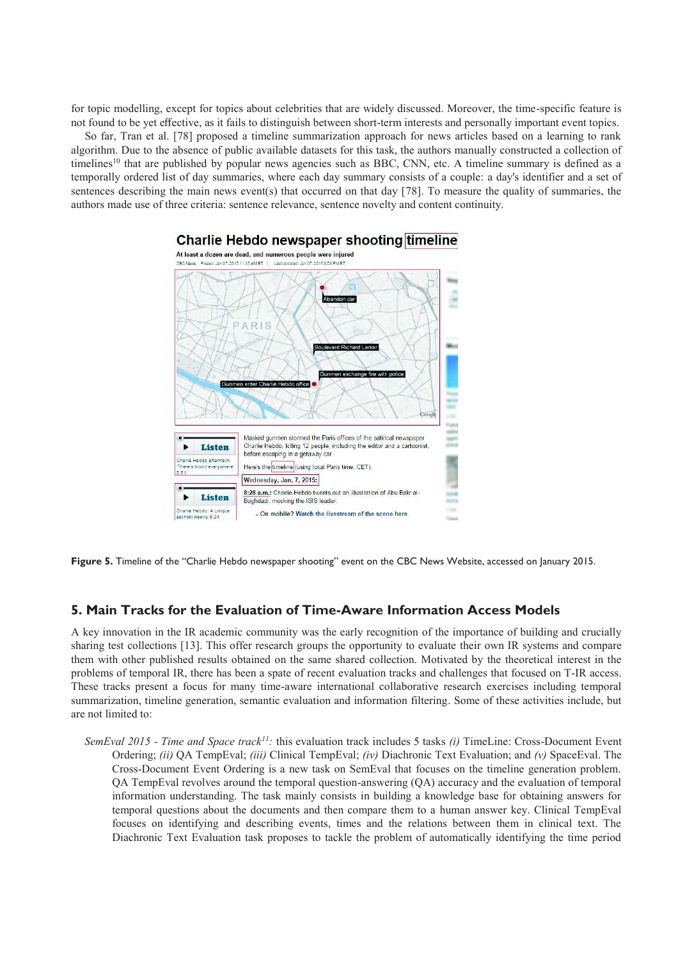for topic modelling, except for topics about celebrities that are widely discussed. Moreover, the time-specific feature is not found to be yet effective, as it fails to distinguish between short-term interests and personally important event topics.

So far, Tran et al. [78] proposed a timeline summarization approach for news articles based on a learning to rank algorithm. Due to the absence of public available datasets for this task, the authors manually constructed a collection of timelines<sup>10</sup> that are published by popular news agencies such as BBC, CNN, etc. A timeline summary is defined as a temporally ordered list of day summaries, where each day summary consists of a couple: a day's identifier and a set of sentences describing the main news event(s) that occurred on that day [78]. To measure the quality of summaries, the authors made use of three criteria: sentence relevance, sentence novelty and content continuity.



Charlie Hebdo newspaper shooting timeline

**Figure 5.** Timeline of the "Charlie Hebdo newspaper shooting" event on the CBC News Website, accessed on January 2015.

## **5. Main Tracks for the Evaluation of Time-Aware Information Access Models**

A key innovation in the IR academic community was the early recognition of the importance of building and crucially sharing test collections [13]. This offer research groups the opportunity to evaluate their own IR systems and compare them with other published results obtained on the same shared collection. Motivated by the theoretical interest in the problems of temporal IR, there has been a spate of recent evaluation tracks and challenges that focused on T-IR access. These tracks present a focus for many time-aware international collaborative research exercises including temporal summarization, timeline generation, semantic evaluation and information filtering. Some of these activities include, but are not limited to:

*SemEval 2015 - Time and Space track<sup>11</sup>:* this evaluation track includes 5 tasks *(i)* TimeLine: Cross-Document Event Ordering; *(ii)* OA TempEval; *(iii)* Clinical TempEval; *(iv)* Diachronic Text Evaluation; and *(v)* SpaceEval. The Cross-Document Event Ordering is a new task on SemEval that focuses on the timeline generation problem. QA TempEval revolves around the temporal question-answering (QA) accuracy and the evaluation of temporal information understanding. The task mainly consists in building a knowledge base for obtaining answers for temporal questions about the documents and then compare them to a human answer key. Clinical TempEval focuses on identifying and describing events, times and the relations between them in clinical text. The Diachronic Text Evaluation task proposes to tackle the problem of automatically identifying the time period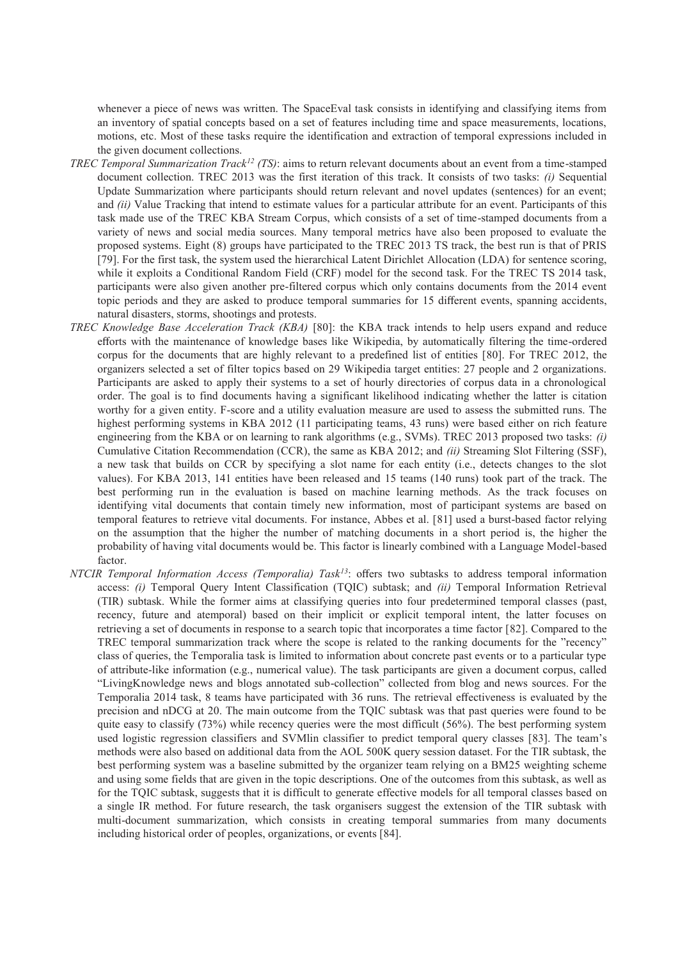whenever a piece of news was written. The SpaceEval task consists in identifying and classifying items from an inventory of spatial concepts based on a set of features including time and space measurements, locations, motions, etc. Most of these tasks require the identification and extraction of temporal expressions included in the given document collections.

- *TREC Temporal Summarization Track<sup>12</sup> (TS)*: aims to return relevant documents about an event from a time-stamped document collection. TREC 2013 was the first iteration of this track. It consists of two tasks: *(i)* Sequential Update Summarization where participants should return relevant and novel updates (sentences) for an event; and *(ii)* Value Tracking that intend to estimate values for a particular attribute for an event. Participants of this task made use of the TREC KBA Stream Corpus, which consists of a set of time-stamped documents from a variety of news and social media sources. Many temporal metrics have also been proposed to evaluate the proposed systems. Eight (8) groups have participated to the TREC 2013 TS track, the best run is that of PRIS [79]. For the first task, the system used the hierarchical Latent Dirichlet Allocation (LDA) for sentence scoring, while it exploits a Conditional Random Field (CRF) model for the second task. For the TREC TS 2014 task, participants were also given another pre-filtered corpus which only contains documents from the 2014 event topic periods and they are asked to produce temporal summaries for 15 different events, spanning accidents, natural disasters, storms, shootings and protests.
- *TREC Knowledge Base Acceleration Track (KBA)* [80]: the KBA track intends to help users expand and reduce efforts with the maintenance of knowledge bases like Wikipedia, by automatically filtering the time-ordered corpus for the documents that are highly relevant to a predefined list of entities [80]. For TREC 2012, the organizers selected a set of filter topics based on 29 Wikipedia target entities: 27 people and 2 organizations. Participants are asked to apply their systems to a set of hourly directories of corpus data in a chronological order. The goal is to find documents having a significant likelihood indicating whether the latter is citation worthy for a given entity. F-score and a utility evaluation measure are used to assess the submitted runs. The highest performing systems in KBA 2012 (11 participating teams, 43 runs) were based either on rich feature engineering from the KBA or on learning to rank algorithms (e.g., SVMs). TREC 2013 proposed two tasks: *(i)* Cumulative Citation Recommendation (CCR), the same as KBA 2012; and *(ii)* Streaming Slot Filtering (SSF), a new task that builds on CCR by specifying a slot name for each entity (i.e., detects changes to the slot values). For KBA 2013, 141 entities have been released and 15 teams (140 runs) took part of the track. The best performing run in the evaluation is based on machine learning methods. As the track focuses on identifying vital documents that contain timely new information, most of participant systems are based on temporal features to retrieve vital documents. For instance, Abbes et al. [81] used a burst-based factor relying on the assumption that the higher the number of matching documents in a short period is, the higher the probability of having vital documents would be. This factor is linearly combined with a Language Model-based factor.
- *NTCIR Temporal Information Access (Temporalia) Task<sup>13</sup>: offers two subtasks to address temporal information* access: *(i)* Temporal Query Intent Classification (TQIC) subtask; and *(ii)* Temporal Information Retrieval (TIR) subtask. While the former aims at classifying queries into four predetermined temporal classes (past, recency, future and atemporal) based on their implicit or explicit temporal intent, the latter focuses on retrieving a set of documents in response to a search topic that incorporates a time factor [82]. Compared to the TREC temporal summarization track where the scope is related to the ranking documents for the "recency" class of queries, the Temporalia task is limited to information about concrete past events or to a particular type of attribute-like information (e.g., numerical value). The task participants are given a document corpus, called "LivingKnowledge news and blogs annotated sub-collection" collected from blog and news sources. For the Temporalia 2014 task, 8 teams have participated with 36 runs. The retrieval effectiveness is evaluated by the precision and nDCG at 20. The main outcome from the TQIC subtask was that past queries were found to be quite easy to classify  $(73%)$  while recency queries were the most difficult  $(56%)$ . The best performing system used logistic regression classifiers and SVMlin classifier to predict temporal query classes [83]. The team's methods were also based on additional data from the AOL 500K query session dataset. For the TIR subtask, the best performing system was a baseline submitted by the organizer team relying on a BM25 weighting scheme and using some fields that are given in the topic descriptions. One of the outcomes from this subtask, as well as for the TQIC subtask, suggests that it is difficult to generate effective models for all temporal classes based on a single IR method. For future research, the task organisers suggest the extension of the TIR subtask with multi-document summarization, which consists in creating temporal summaries from many documents including historical order of peoples, organizations, or events [84].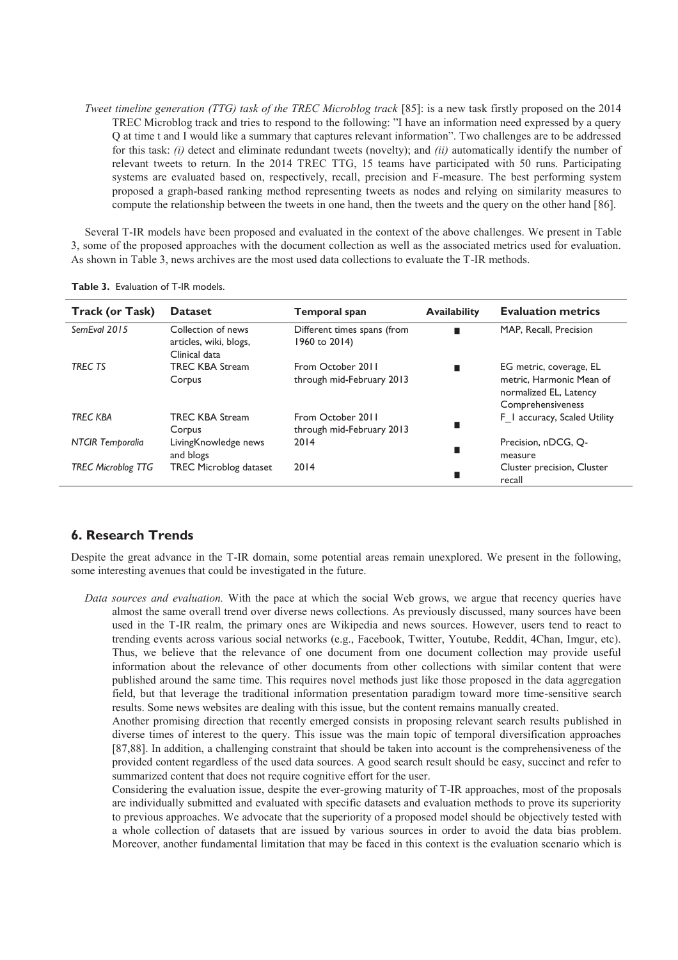*Tweet timeline generation (TTG) task of the TREC Microblog track* [85]: is a new task firstly proposed on the 2014 TREC Microblog track and tries to respond to the following: "I have an information need expressed by a query Q at time t and I would like a summary that captures relevant information". Two challenges are to be addressed for this task: *(i)* detect and eliminate redundant tweets (novelty); and *(ii)* automatically identify the number of relevant tweets to return. In the 2014 TREC TTG, 15 teams have participated with 50 runs. Participating systems are evaluated based on, respectively, recall, precision and F-measure. The best performing system proposed a graph-based ranking method representing tweets as nodes and relying on similarity measures to compute the relationship between the tweets in one hand, then the tweets and the query on the other hand [86].

Several T-IR models have been proposed and evaluated in the context of the above challenges. We present in Table 3, some of the proposed approaches with the document collection as well as the associated metrics used for evaluation. As shown in Table 3, news archives are the most used data collections to evaluate the T-IR methods.

| <b>Track (or Task)</b>    | <b>Dataset</b>                                                | Temporal span                                  | <b>Availability</b> | <b>Evaluation metrics</b>                                                                          |
|---------------------------|---------------------------------------------------------------|------------------------------------------------|---------------------|----------------------------------------------------------------------------------------------------|
| SemEval 2015              | Collection of news<br>articles, wiki, blogs,<br>Clinical data | Different times spans (from<br>1960 to 2014)   |                     | MAP, Recall, Precision                                                                             |
| <b>TRECTS</b>             | <b>TREC KBA Stream</b><br>Corpus                              | From October 2011<br>through mid-February 2013 |                     | EG metric, coverage, EL<br>metric, Harmonic Mean of<br>normalized EL, Latency<br>Comprehensiveness |
| <b>TREC KBA</b>           | <b>TREC KBA Stream</b><br>Corpus                              | From October 2011<br>through mid-February 2013 | п                   | F I accuracy, Scaled Utility                                                                       |
| NTCIR Temporalia          | LivingKnowledge news<br>and blogs                             | 2014                                           | п                   | Precision, nDCG, Q-<br>measure                                                                     |
| <b>TREC Microblog TTG</b> | <b>TREC Microblog dataset</b>                                 | 2014                                           | П                   | Cluster precision, Cluster<br>recall                                                               |

|  |  | <b>Table 3.</b> Evaluation of T-IR models. |
|--|--|--------------------------------------------|
|--|--|--------------------------------------------|

# **6. Research Trends**

Despite the great advance in the T-IR domain, some potential areas remain unexplored. We present in the following, some interesting avenues that could be investigated in the future.

*Data sources and evaluation.* With the pace at which the social Web grows, we argue that recency queries have almost the same overall trend over diverse news collections. As previously discussed, many sources have been used in the T-IR realm, the primary ones are Wikipedia and news sources. However, users tend to react to trending events across various social networks (e.g., Facebook, Twitter, Youtube, Reddit, 4Chan, Imgur, etc). Thus, we believe that the relevance of one document from one document collection may provide useful information about the relevance of other documents from other collections with similar content that were published around the same time. This requires novel methods just like those proposed in the data aggregation field, but that leverage the traditional information presentation paradigm toward more time-sensitive search results. Some news websites are dealing with this issue, but the content remains manually created.

Another promising direction that recently emerged consists in proposing relevant search results published in diverse times of interest to the query. This issue was the main topic of temporal diversification approaches [87,88]. In addition, a challenging constraint that should be taken into account is the comprehensiveness of the provided content regardless of the used data sources. A good search result should be easy, succinct and refer to summarized content that does not require cognitive effort for the user.

Considering the evaluation issue, despite the ever-growing maturity of T-IR approaches, most of the proposals are individually submitted and evaluated with specific datasets and evaluation methods to prove its superiority to previous approaches. We advocate that the superiority of a proposed model should be objectively tested with a whole collection of datasets that are issued by various sources in order to avoid the data bias problem. Moreover, another fundamental limitation that may be faced in this context is the evaluation scenario which is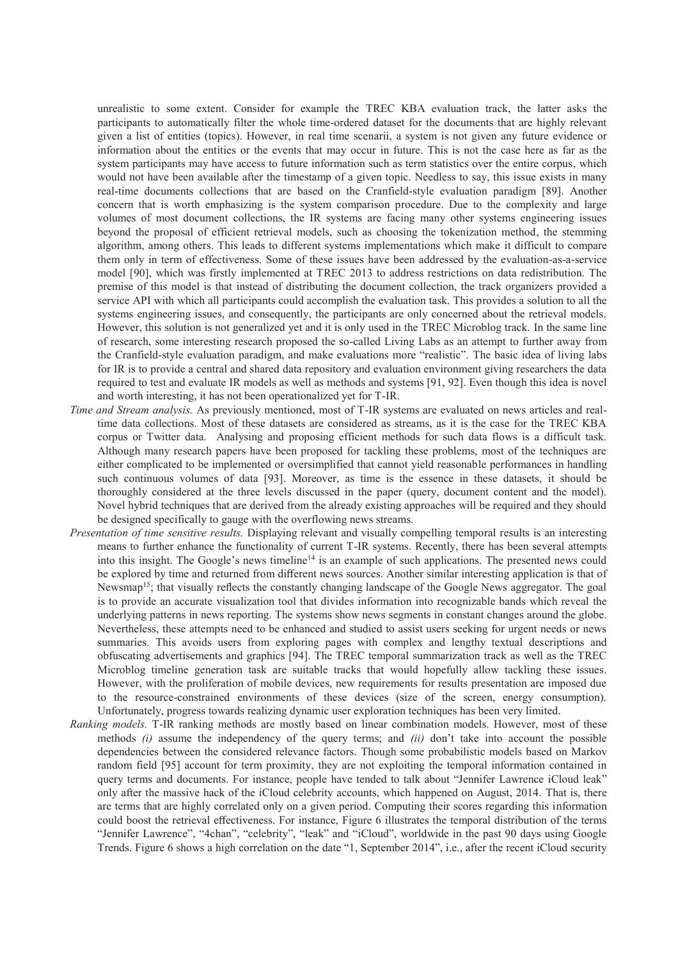unrealistic to some extent. Consider for example the TREC KBA evaluation track, the latter asks the participants to automatically filter the whole time-ordered dataset for the documents that are highly relevant given a list of entities (topics). However, in real time scenarii, a system is not given any future evidence or information about the entities or the events that may occur in future. This is not the case here as far as the system participants may have access to future information such as term statistics over the entire corpus, which would not have been available after the timestamp of a given topic. Needless to say, this issue exists in many real-time documents collections that are based on the Cranfield-style evaluation paradigm [89]. Another concern that is worth emphasizing is the system comparison procedure. Due to the complexity and large volumes of most document collections, the IR systems are facing many other systems engineering issues beyond the proposal of efficient retrieval models, such as choosing the tokenization method, the stemming algorithm, among others. This leads to different systems implementations which make it difficult to compare them only in term of effectiveness. Some of these issues have been addressed by the evaluation-as-a-service model [90], which was firstly implemented at TREC 2013 to address restrictions on data redistribution. The premise of this model is that instead of distributing the document collection, the track organizers provided a service API with which all participants could accomplish the evaluation task. This provides a solution to all the systems engineering issues, and consequently, the participants are only concerned about the retrieval models. However, this solution is not generalized yet and it is only used in the TREC Microblog track. In the same line of research, some interesting research proposed the so-called Living Labs as an attempt to further away from the Cranfield-style evaluation paradigm, and make evaluations more "realistic". The basic idea of living labs for IR is to provide a central and shared data repository and evaluation environment giving researchers the data required to test and evaluate IR models as well as methods and systems [91, 92]. Even though this idea is novel and worth interesting, it has not been operationalized yet for T-IR.

- *Time and Stream analysis.* As previously mentioned, most of T-IR systems are evaluated on news articles and realtime data collections. Most of these datasets are considered as streams, as it is the case for the TREC KBA corpus or Twitter data. Analysing and proposing efficient methods for such data flows is a difficult task. Although many research papers have been proposed for tackling these problems, most of the techniques are either complicated to be implemented or oversimplified that cannot yield reasonable performances in handling such continuous volumes of data [93]. Moreover, as time is the essence in these datasets, it should be thoroughly considered at the three levels discussed in the paper (query, document content and the model). Novel hybrid techniques that are derived from the already existing approaches will be required and they should be designed specifically to gauge with the overflowing news streams.
- *Presentation of time sensitive results.* Displaying relevant and visually compelling temporal results is an interesting means to further enhance the functionality of current T-IR systems. Recently, there has been several attempts into this insight. The Google's news timeline<sup>14</sup> is an example of such applications. The presented news could be explored by time and returned from different news sources. Another similar interesting application is that of Newsmap<sup>15</sup>; that visually reflects the constantly changing landscape of the Google News aggregator. The goal is to provide an accurate visualization tool that divides information into recognizable bands which reveal the underlying patterns in news reporting. The systems show news segments in constant changes around the globe. Nevertheless, these attempts need to be enhanced and studied to assist users seeking for urgent needs or news summaries. This avoids users from exploring pages with complex and lengthy textual descriptions and obfuscating advertisements and graphics [94]. The TREC temporal summarization track as well as the TREC Microblog timeline generation task are suitable tracks that would hopefully allow tackling these issues. However, with the proliferation of mobile devices, new requirements for results presentation are imposed due to the resource-constrained environments of these devices (size of the screen, energy consumption). Unfortunately, progress towards realizing dynamic user exploration techniques has been very limited.
- *Ranking models.* T-IR ranking methods are mostly based on linear combination models. However, most of these methods *(i)* assume the independency of the query terms; and *(ii)* don't take into account the possible dependencies between the considered relevance factors. Though some probabilistic models based on Markov random field [95] account for term proximity, they are not exploiting the temporal information contained in query terms and documents. For instance, people have tended to talk about "Jennifer Lawrence iCloud leak" only after the massive hack of the iCloud celebrity accounts, which happened on August, 2014. That is, there are terms that are highly correlated only on a given period. Computing their scores regarding this information could boost the retrieval effectiveness. For instance, Figure 6 illustrates the temporal distribution of the terms "Jennifer Lawrence", "4chan", "celebrity", "leak" and "iCloud", worldwide in the past 90 days using Google Trends. Figure 6 shows a high correlation on the date "1, September 2014", i.e., after the recent iCloud security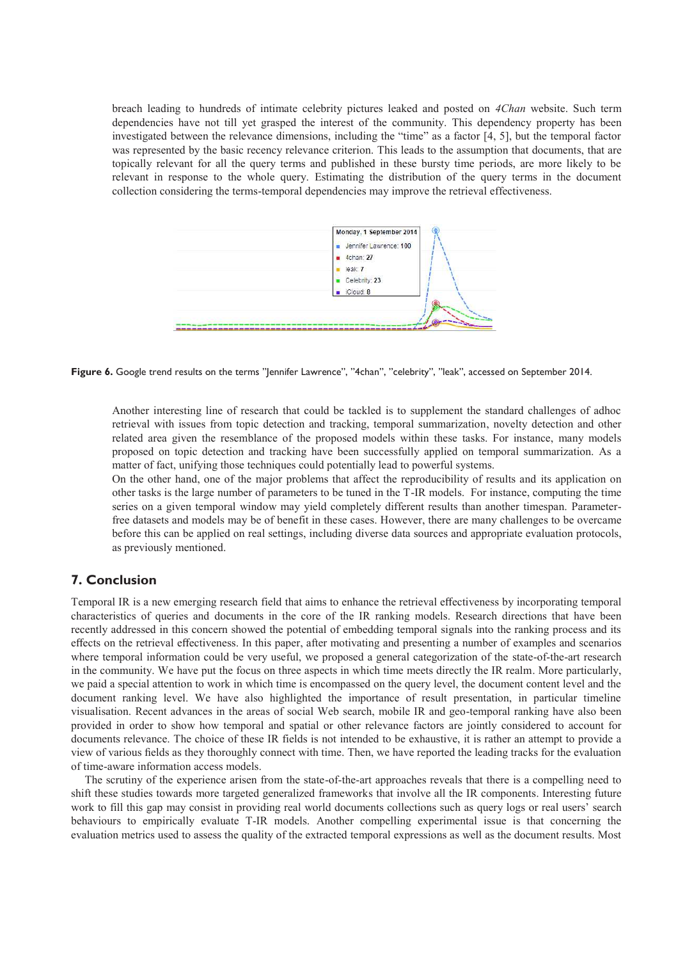breach leading to hundreds of intimate celebrity pictures leaked and posted on *4Chan* website. Such term dependencies have not till yet grasped the interest of the community. This dependency property has been investigated between the relevance dimensions, including the "time" as a factor [4, 5], but the temporal factor was represented by the basic recency relevance criterion. This leads to the assumption that documents, that are topically relevant for all the query terms and published in these bursty time periods, are more likely to be relevant in response to the whole query. Estimating the distribution of the query terms in the document collection considering the terms-temporal dependencies may improve the retrieval effectiveness.



**Figure 6.** Google trend results on the terms "Jennifer Lawrence", "4chan", "celebrity", "leak", accessed on September 2014.

Another interesting line of research that could be tackled is to supplement the standard challenges of adhoc retrieval with issues from topic detection and tracking, temporal summarization, novelty detection and other related area given the resemblance of the proposed models within these tasks. For instance, many models proposed on topic detection and tracking have been successfully applied on temporal summarization. As a matter of fact, unifying those techniques could potentially lead to powerful systems.

 On the other hand, one of the major problems that affect the reproducibility of results and its application on other tasks is the large number of parameters to be tuned in the T-IR models. For instance, computing the time series on a given temporal window may yield completely different results than another timespan. Parameterfree datasets and models may be of benefit in these cases. However, there are many challenges to be overcame before this can be applied on real settings, including diverse data sources and appropriate evaluation protocols, as previously mentioned.

# **7. Conclusion**

Temporal IR is a new emerging research field that aims to enhance the retrieval effectiveness by incorporating temporal characteristics of queries and documents in the core of the IR ranking models. Research directions that have been recently addressed in this concern showed the potential of embedding temporal signals into the ranking process and its effects on the retrieval effectiveness. In this paper, after motivating and presenting a number of examples and scenarios where temporal information could be very useful, we proposed a general categorization of the state-of-the-art research in the community. We have put the focus on three aspects in which time meets directly the IR realm. More particularly, we paid a special attention to work in which time is encompassed on the query level, the document content level and the document ranking level. We have also highlighted the importance of result presentation, in particular timeline visualisation. Recent advances in the areas of social Web search, mobile IR and geo-temporal ranking have also been provided in order to show how temporal and spatial or other relevance factors are jointly considered to account for documents relevance. The choice of these IR fields is not intended to be exhaustive, it is rather an attempt to provide a view of various fields as they thoroughly connect with time. Then, we have reported the leading tracks for the evaluation of time-aware information access models.

The scrutiny of the experience arisen from the state-of-the-art approaches reveals that there is a compelling need to shift these studies towards more targeted generalized frameworks that involve all the IR components. Interesting future work to fill this gap may consist in providing real world documents collections such as query logs or real users' search behaviours to empirically evaluate T-IR models. Another compelling experimental issue is that concerning the evaluation metrics used to assess the quality of the extracted temporal expressions as well as the document results. Most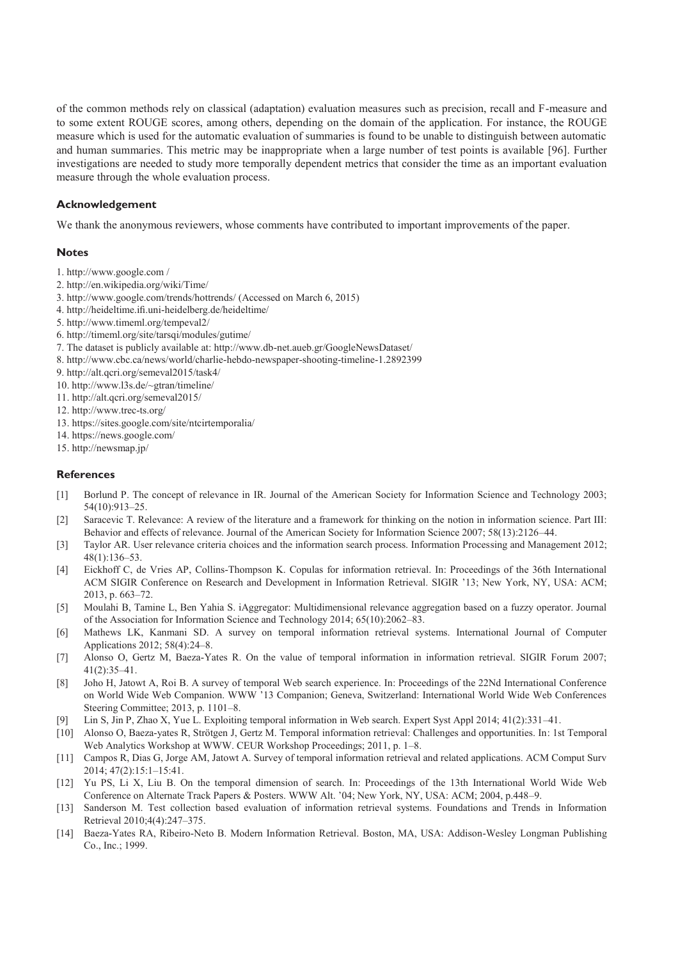of the common methods rely on classical (adaptation) evaluation measures such as precision, recall and F-measure and to some extent ROUGE scores, among others, depending on the domain of the application. For instance, the ROUGE measure which is used for the automatic evaluation of summaries is found to be unable to distinguish between automatic and human summaries. This metric may be inappropriate when a large number of test points is available [96]. Further investigations are needed to study more temporally dependent metrics that consider the time as an important evaluation measure through the whole evaluation process.

## **Acknowledgement**

We thank the anonymous reviewers, whose comments have contributed to important improvements of the paper.

## **Notes**

- 1. http://www.google.com /
- 2. http://en.wikipedia.org/wiki/Time/
- 3. http://www.google.com/trends/hottrends/ (Accessed on March 6, 2015)
- 4. http://heideltime.ifi.uni-heidelberg.de/heideltime/
- 5. http://www.timeml.org/tempeval2/
- 6. http://timeml.org/site/tarsqi/modules/gutime/
- 7. The dataset is publicly available at: http://www.db-net.aueb.gr/GoogleNewsDataset/
- 8. http://www.cbc.ca/news/world/charlie-hebdo-newspaper-shooting-timeline-1.2892399
- 9. http://alt.qcri.org/semeval2015/task4/
- 10. http://www.l3s.de/~gtran/timeline/
- 11. http://alt.qcri.org/semeval2015/
- 12. http://www.trec-ts.org/
- 13. https://sites.google.com/site/ntcirtemporalia/
- 14. https://news.google.com/
- 15. http://newsmap.jp/

### **References**

- [1] Borlund P. The concept of relevance in IR. Journal of the American Society for Information Science and Technology 2003; 54(10):913–25.
- [2] Saracevic T. Relevance: A review of the literature and a framework for thinking on the notion in information science. Part III: Behavior and effects of relevance. Journal of the American Society for Information Science 2007; 58(13):2126–44.
- [3] Taylor AR. User relevance criteria choices and the information search process. Information Processing and Management 2012; 48(1):136–53.
- [4] Eickhoff C, de Vries AP, Collins-Thompson K. Copulas for information retrieval. In: Proceedings of the 36th International ACM SIGIR Conference on Research and Development in Information Retrieval. SIGIR '13; New York, NY, USA: ACM; 2013, p. 663–72.
- [5] Moulahi B, Tamine L, Ben Yahia S. iAggregator: Multidimensional relevance aggregation based on a fuzzy operator. Journal of the Association for Information Science and Technology 2014; 65(10):2062–83.
- [6] Mathews LK, Kanmani SD. A survey on temporal information retrieval systems. International Journal of Computer Applications 2012; 58(4):24–8.
- [7] Alonso O, Gertz M, Baeza-Yates R. On the value of temporal information in information retrieval. SIGIR Forum 2007; 41(2):35–41.
- [8] Joho H, Jatowt A, Roi B. A survey of temporal Web search experience. In: Proceedings of the 22Nd International Conference on World Wide Web Companion. WWW '13 Companion; Geneva, Switzerland: International World Wide Web Conferences Steering Committee; 2013, p. 1101–8.
- [9] Lin S, Jin P, Zhao X, Yue L. Exploiting temporal information in Web search. Expert Syst Appl 2014; 41(2):331–41.
- [10] Alonso O, Baeza-yates R, Strötgen J, Gertz M. Temporal information retrieval: Challenges and opportunities. In: 1st Temporal Web Analytics Workshop at WWW. CEUR Workshop Proceedings; 2011, p. 1–8.
- [11] Campos R, Dias G, Jorge AM, Jatowt A. Survey of temporal information retrieval and related applications. ACM Comput Surv 2014; 47(2):15:1–15:41.
- [12] Yu PS, Li X, Liu B. On the temporal dimension of search. In: Proceedings of the 13th International World Wide Web Conference on Alternate Track Papers & Posters. WWW Alt. '04; New York, NY, USA: ACM; 2004, p.448–9.
- [13] Sanderson M. Test collection based evaluation of information retrieval systems. Foundations and Trends in Information Retrieval 2010;4(4):247–375.
- [14] Baeza-Yates RA, Ribeiro-Neto B. Modern Information Retrieval. Boston, MA, USA: Addison-Wesley Longman Publishing Co., Inc.; 1999.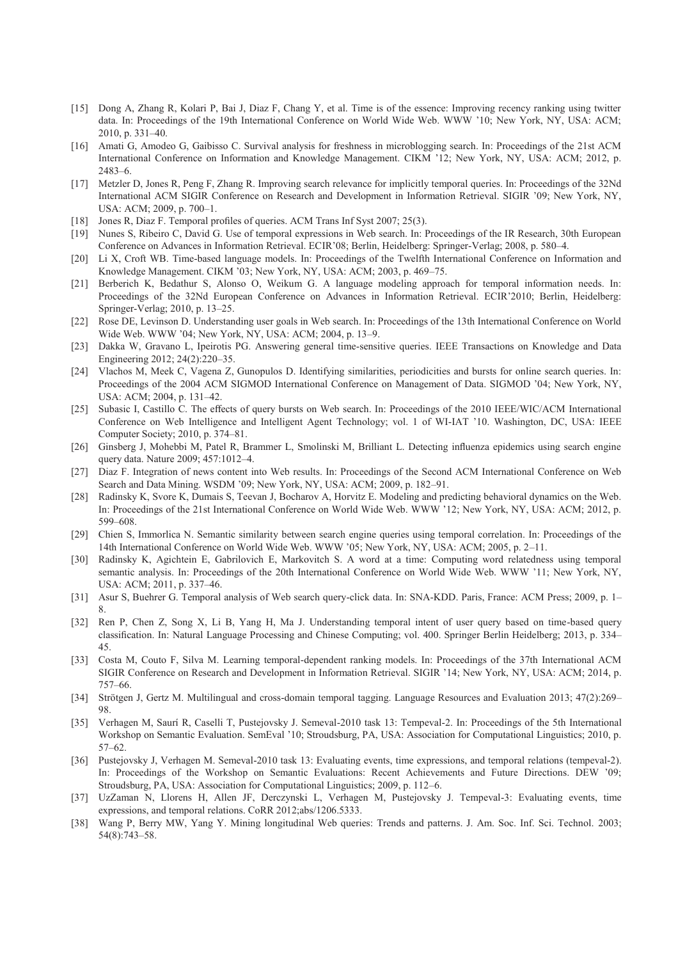- [15] Dong A, Zhang R, Kolari P, Bai J, Diaz F, Chang Y, et al. Time is of the essence: Improving recency ranking using twitter data. In: Proceedings of the 19th International Conference on World Wide Web. WWW '10; New York, NY, USA: ACM; 2010, p. 331–40.
- [16] Amati G, Amodeo G, Gaibisso C. Survival analysis for freshness in microblogging search. In: Proceedings of the 21st ACM International Conference on Information and Knowledge Management. CIKM '12; New York, NY, USA: ACM; 2012, p. 2483–6.
- [17] Metzler D, Jones R, Peng F, Zhang R. Improving search relevance for implicitly temporal queries. In: Proceedings of the 32Nd International ACM SIGIR Conference on Research and Development in Information Retrieval. SIGIR '09; New York, NY, USA: ACM; 2009, p. 700–1.
- [18] Jones R, Diaz F. Temporal profiles of queries. ACM Trans Inf Syst 2007; 25(3).
- [19] Nunes S, Ribeiro C, David G. Use of temporal expressions in Web search. In: Proceedings of the IR Research, 30th European Conference on Advances in Information Retrieval. ECIR'08; Berlin, Heidelberg: Springer-Verlag; 2008, p. 580–4.
- [20] Li X, Croft WB. Time-based language models. In: Proceedings of the Twelfth International Conference on Information and Knowledge Management. CIKM '03; New York, NY, USA: ACM; 2003, p. 469–75.
- [21] Berberich K, Bedathur S, Alonso O, Weikum G. A language modeling approach for temporal information needs. In: Proceedings of the 32Nd European Conference on Advances in Information Retrieval. ECIR'2010; Berlin, Heidelberg: Springer-Verlag; 2010, p. 13–25.
- [22] Rose DE, Levinson D. Understanding user goals in Web search. In: Proceedings of the 13th International Conference on World Wide Web. WWW '04; New York, NY, USA: ACM; 2004, p. 13–9.
- [23] Dakka W, Gravano L, Ipeirotis PG. Answering general time-sensitive queries. IEEE Transactions on Knowledge and Data Engineering 2012; 24(2):220–35.
- [24] Vlachos M, Meek C, Vagena Z, Gunopulos D. Identifying similarities, periodicities and bursts for online search queries. In: Proceedings of the 2004 ACM SIGMOD International Conference on Management of Data. SIGMOD '04; New York, NY, USA: ACM; 2004, p. 131–42.
- [25] Subasic I, Castillo C. The effects of query bursts on Web search. In: Proceedings of the 2010 IEEE/WIC/ACM International Conference on Web Intelligence and Intelligent Agent Technology; vol. 1 of WI-IAT '10. Washington, DC, USA: IEEE Computer Society; 2010, p. 374–81.
- [26] Ginsberg J, Mohebbi M, Patel R, Brammer L, Smolinski M, Brilliant L. Detecting influenza epidemics using search engine query data. Nature 2009; 457:1012–4.
- [27] Diaz F. Integration of news content into Web results. In: Proceedings of the Second ACM International Conference on Web Search and Data Mining. WSDM '09; New York, NY, USA: ACM; 2009, p. 182–91.
- [28] Radinsky K, Svore K, Dumais S, Teevan J, Bocharov A, Horvitz E. Modeling and predicting behavioral dynamics on the Web. In: Proceedings of the 21st International Conference on World Wide Web. WWW '12; New York, NY, USA: ACM; 2012, p. 599–608.
- [29] Chien S, Immorlica N. Semantic similarity between search engine queries using temporal correlation. In: Proceedings of the 14th International Conference on World Wide Web. WWW '05; New York, NY, USA: ACM; 2005, p. 2–11.
- [30] Radinsky K, Agichtein E, Gabrilovich E, Markovitch S. A word at a time: Computing word relatedness using temporal semantic analysis. In: Proceedings of the 20th International Conference on World Wide Web. WWW '11; New York, NY, USA: ACM; 2011, p. 337–46.
- [31] Asur S, Buehrer G. Temporal analysis of Web search query-click data. In: SNA-KDD. Paris, France: ACM Press; 2009, p. 1– 8.
- [32] Ren P, Chen Z, Song X, Li B, Yang H, Ma J. Understanding temporal intent of user query based on time-based query classification. In: Natural Language Processing and Chinese Computing; vol. 400. Springer Berlin Heidelberg; 2013, p. 334– 45.
- [33] Costa M, Couto F, Silva M. Learning temporal-dependent ranking models. In: Proceedings of the 37th International ACM SIGIR Conference on Research and Development in Information Retrieval. SIGIR '14; New York, NY, USA: ACM; 2014, p. 757–66.
- [34] Strötgen J, Gertz M. Multilingual and cross-domain temporal tagging. Language Resources and Evaluation 2013; 47(2):269– 98.
- [35] Verhagen M, Saurí R, Caselli T, Pustejovsky J. Semeval-2010 task 13: Tempeval-2. In: Proceedings of the 5th International Workshop on Semantic Evaluation. SemEval '10; Stroudsburg, PA, USA: Association for Computational Linguistics; 2010, p. 57–62.
- [36] Pustejovsky J, Verhagen M. Semeval-2010 task 13: Evaluating events, time expressions, and temporal relations (tempeval-2). In: Proceedings of the Workshop on Semantic Evaluations: Recent Achievements and Future Directions. DEW '09; Stroudsburg, PA, USA: Association for Computational Linguistics; 2009, p. 112–6.
- [37] UzZaman N, Llorens H, Allen JF, Derczynski L, Verhagen M, Pustejovsky J. Tempeval-3: Evaluating events, time expressions, and temporal relations. CoRR 2012;abs/1206.5333.
- [38] Wang P, Berry MW, Yang Y. Mining longitudinal Web queries: Trends and patterns. J. Am. Soc. Inf. Sci. Technol. 2003; 54(8):743–58.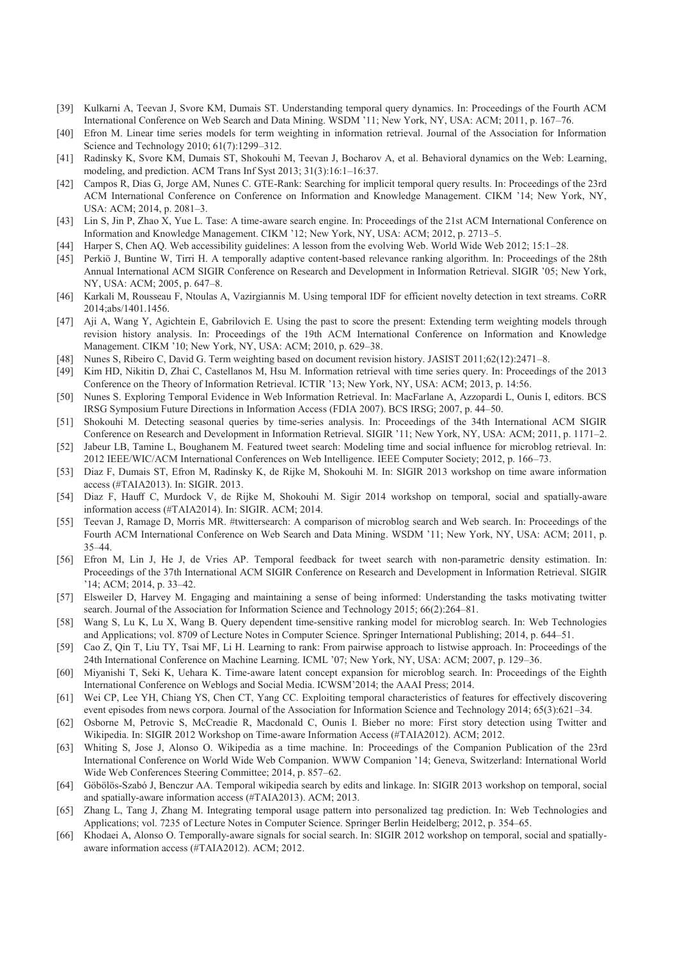- [39] Kulkarni A, Teevan J, Svore KM, Dumais ST. Understanding temporal query dynamics. In: Proceedings of the Fourth ACM International Conference on Web Search and Data Mining. WSDM '11; New York, NY, USA: ACM; 2011, p. 167–76.
- [40] Efron M. Linear time series models for term weighting in information retrieval. Journal of the Association for Information Science and Technology 2010; 61(7):1299–312.
- [41] Radinsky K, Svore KM, Dumais ST, Shokouhi M, Teevan J, Bocharov A, et al. Behavioral dynamics on the Web: Learning, modeling, and prediction. ACM Trans Inf Syst 2013; 31(3):16:1–16:37.
- [42] Campos R, Dias G, Jorge AM, Nunes C. GTE-Rank: Searching for implicit temporal query results. In: Proceedings of the 23rd ACM International Conference on Conference on Information and Knowledge Management. CIKM '14; New York, NY, USA: ACM; 2014, p. 2081–3.
- [43] Lin S, Jin P, Zhao X, Yue L. Tase: A time-aware search engine. In: Proceedings of the 21st ACM International Conference on Information and Knowledge Management. CIKM '12; New York, NY, USA: ACM; 2012, p. 2713–5.
- [44] Harper S, Chen AQ. Web accessibility guidelines: A lesson from the evolving Web. World Wide Web 2012; 15:1–28.
- [45] Perkiö J, Buntine W, Tirri H. A temporally adaptive content-based relevance ranking algorithm. In: Proceedings of the 28th Annual International ACM SIGIR Conference on Research and Development in Information Retrieval. SIGIR '05; New York, NY, USA: ACM; 2005, p. 647–8.
- [46] Karkali M, Rousseau F, Ntoulas A, Vazirgiannis M. Using temporal IDF for efficient novelty detection in text streams. CoRR 2014;abs/1401.1456.
- [47] Aji A, Wang Y, Agichtein E, Gabrilovich E. Using the past to score the present: Extending term weighting models through revision history analysis. In: Proceedings of the 19th ACM International Conference on Information and Knowledge Management. CIKM '10; New York, NY, USA: ACM; 2010, p. 629–38.
- [48] Nunes S, Ribeiro C, David G. Term weighting based on document revision history. JASIST 2011;62(12):2471–8.
- [49] Kim HD, Nikitin D, Zhai C, Castellanos M, Hsu M. Information retrieval with time series query. In: Proceedings of the 2013 Conference on the Theory of Information Retrieval. ICTIR '13; New York, NY, USA: ACM; 2013, p. 14:56.
- [50] Nunes S. Exploring Temporal Evidence in Web Information Retrieval. In: MacFarlane A, Azzopardi L, Ounis I, editors. BCS IRSG Symposium Future Directions in Information Access (FDIA 2007). BCS IRSG; 2007, p. 44–50.
- [51] Shokouhi M. Detecting seasonal queries by time-series analysis. In: Proceedings of the 34th International ACM SIGIR Conference on Research and Development in Information Retrieval. SIGIR '11; New York, NY, USA: ACM; 2011, p. 1171–2.
- [52] Jabeur LB, Tamine L, Boughanem M. Featured tweet search: Modeling time and social influence for microblog retrieval. In: 2012 IEEE/WIC/ACM International Conferences on Web Intelligence. IEEE Computer Society; 2012, p. 166–73.
- [53] Diaz F, Dumais ST, Efron M, Radinsky K, de Rijke M, Shokouhi M. In: SIGIR 2013 workshop on time aware information access (#TAIA2013). In: SIGIR. 2013.
- [54] Diaz F, Hauff C, Murdock V, de Rijke M, Shokouhi M. Sigir 2014 workshop on temporal, social and spatially-aware information access (#TAIA2014). In: SIGIR. ACM; 2014.
- [55] Teevan J, Ramage D, Morris MR. #twittersearch: A comparison of microblog search and Web search. In: Proceedings of the Fourth ACM International Conference on Web Search and Data Mining. WSDM '11; New York, NY, USA: ACM; 2011, p. 35–44.
- [56] Efron M, Lin J, He J, de Vries AP. Temporal feedback for tweet search with non-parametric density estimation. In: Proceedings of the 37th International ACM SIGIR Conference on Research and Development in Information Retrieval. SIGIR '14; ACM; 2014, p. 33–42.
- [57] Elsweiler D, Harvey M. Engaging and maintaining a sense of being informed: Understanding the tasks motivating twitter search. Journal of the Association for Information Science and Technology 2015; 66(2):264–81.
- [58] Wang S, Lu K, Lu X, Wang B. Query dependent time-sensitive ranking model for microblog search. In: Web Technologies and Applications; vol. 8709 of Lecture Notes in Computer Science. Springer International Publishing; 2014, p. 644–51.
- [59] Cao Z, Qin T, Liu TY, Tsai MF, Li H. Learning to rank: From pairwise approach to listwise approach. In: Proceedings of the 24th International Conference on Machine Learning. ICML '07; New York, NY, USA: ACM; 2007, p. 129–36.
- [60] Miyanishi T, Seki K, Uehara K. Time-aware latent concept expansion for microblog search. In: Proceedings of the Eighth International Conference on Weblogs and Social Media. ICWSM'2014; the AAAI Press; 2014.
- [61] Wei CP, Lee YH, Chiang YS, Chen CT, Yang CC. Exploiting temporal characteristics of features for effectively discovering event episodes from news corpora. Journal of the Association for Information Science and Technology 2014; 65(3):621–34.
- [62] Osborne M, Petrovic S, McCreadie R, Macdonald C, Ounis I. Bieber no more: First story detection using Twitter and Wikipedia. In: SIGIR 2012 Workshop on Time-aware Information Access (#TAIA2012). ACM; 2012.
- [63] Whiting S, Jose J, Alonso O. Wikipedia as a time machine. In: Proceedings of the Companion Publication of the 23rd International Conference on World Wide Web Companion. WWW Companion '14; Geneva, Switzerland: International World Wide Web Conferences Steering Committee; 2014, p. 857–62.
- [64] Göbölös-Szabó J, Benczur AA. Temporal wikipedia search by edits and linkage. In: SIGIR 2013 workshop on temporal, social and spatially-aware information access (#TAIA2013). ACM; 2013.
- [65] Zhang L, Tang J, Zhang M. Integrating temporal usage pattern into personalized tag prediction. In: Web Technologies and Applications; vol. 7235 of Lecture Notes in Computer Science. Springer Berlin Heidelberg; 2012, p. 354–65.
- [66] Khodaei A, Alonso O. Temporally-aware signals for social search. In: SIGIR 2012 workshop on temporal, social and spatiallyaware information access (#TAIA2012). ACM; 2012.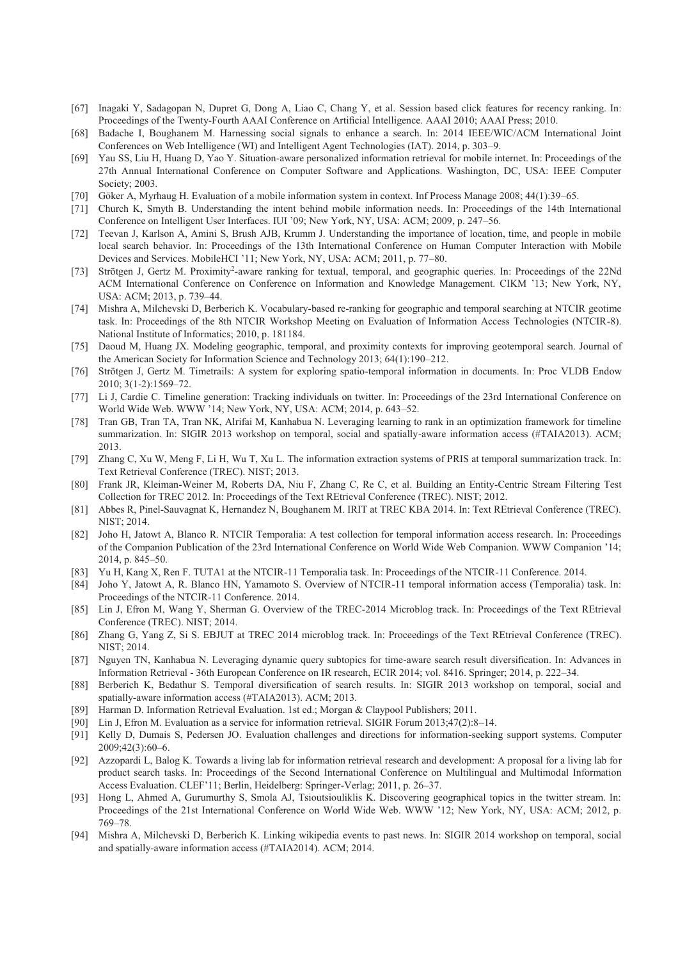- [67] Inagaki Y, Sadagopan N, Dupret G, Dong A, Liao C, Chang Y, et al. Session based click features for recency ranking. In: Proceedings of the Twenty-Fourth AAAI Conference on Artificial Intelligence. AAAI 2010; AAAI Press; 2010.
- [68] Badache I, Boughanem M. Harnessing social signals to enhance a search. In: 2014 IEEE/WIC/ACM International Joint Conferences on Web Intelligence (WI) and Intelligent Agent Technologies (IAT). 2014, p. 303–9.
- [69] Yau SS, Liu H, Huang D, Yao Y. Situation-aware personalized information retrieval for mobile internet. In: Proceedings of the 27th Annual International Conference on Computer Software and Applications. Washington, DC, USA: IEEE Computer Society; 2003.
- [70] Göker A, Myrhaug H. Evaluation of a mobile information system in context. Inf Process Manage 2008; 44(1):39–65.
- [71] Church K, Smyth B. Understanding the intent behind mobile information needs. In: Proceedings of the 14th International Conference on Intelligent User Interfaces. IUI '09; New York, NY, USA: ACM; 2009, p. 247–56.
- [72] Teevan J, Karlson A, Amini S, Brush AJB, Krumm J. Understanding the importance of location, time, and people in mobile local search behavior. In: Proceedings of the 13th International Conference on Human Computer Interaction with Mobile Devices and Services. MobileHCI '11; New York, NY, USA: ACM; 2011, p. 77–80.
- [73] Strötgen J, Gertz M. Proximity<sup>2</sup>-aware ranking for textual, temporal, and geographic queries. In: Proceedings of the 22Nd ACM International Conference on Conference on Information and Knowledge Management. CIKM '13; New York, NY, USA: ACM; 2013, p. 739–44.
- [74] Mishra A, Milchevski D, Berberich K. Vocabulary-based re-ranking for geographic and temporal searching at NTCIR geotime task. In: Proceedings of the 8th NTCIR Workshop Meeting on Evaluation of Information Access Technologies (NTCIR-8). National Institute of Informatics; 2010, p. 181184.
- [75] Daoud M, Huang JX. Modeling geographic, temporal, and proximity contexts for improving geotemporal search. Journal of the American Society for Information Science and Technology 2013; 64(1):190–212.
- [76] Strötgen J, Gertz M. Timetrails: A system for exploring spatio-temporal information in documents. In: Proc VLDB Endow 2010; 3(1-2):1569–72.
- [77] Li J, Cardie C. Timeline generation: Tracking individuals on twitter. In: Proceedings of the 23rd International Conference on World Wide Web. WWW '14; New York, NY, USA: ACM; 2014, p. 643–52.
- [78] Tran GB, Tran TA, Tran NK, Alrifai M, Kanhabua N. Leveraging learning to rank in an optimization framework for timeline summarization. In: SIGIR 2013 workshop on temporal, social and spatially-aware information access (#TAIA2013). ACM; 2013.
- [79] Zhang C, Xu W, Meng F, Li H, Wu T, Xu L. The information extraction systems of PRIS at temporal summarization track. In: Text Retrieval Conference (TREC). NIST; 2013.
- [80] Frank JR, Kleiman-Weiner M, Roberts DA, Niu F, Zhang C, Re C, et al. Building an Entity-Centric Stream Filtering Test Collection for TREC 2012. In: Proceedings of the Text REtrieval Conference (TREC). NIST; 2012.
- [81] Abbes R, Pinel-Sauvagnat K, Hernandez N, Boughanem M. IRIT at TREC KBA 2014. In: Text REtrieval Conference (TREC). NIST; 2014.
- [82] Joho H, Jatowt A, Blanco R. NTCIR Temporalia: A test collection for temporal information access research. In: Proceedings of the Companion Publication of the 23rd International Conference on World Wide Web Companion. WWW Companion '14; 2014, p. 845–50.
- [83] Yu H, Kang X, Ren F. TUTA1 at the NTCIR-11 Temporalia task. In: Proceedings of the NTCIR-11 Conference. 2014.
- [84] Joho Y, Jatowt A, R. Blanco HN, Yamamoto S. Overview of NTCIR-11 temporal information access (Temporalia) task. In: Proceedings of the NTCIR-11 Conference. 2014.
- [85] Lin J, Efron M, Wang Y, Sherman G. Overview of the TREC-2014 Microblog track. In: Proceedings of the Text REtrieval Conference (TREC). NIST; 2014.
- [86] Zhang G, Yang Z, Si S. EBJUT at TREC 2014 microblog track. In: Proceedings of the Text REtrieval Conference (TREC). NIST; 2014.
- [87] Nguyen TN, Kanhabua N. Leveraging dynamic query subtopics for time-aware search result diversification. In: Advances in Information Retrieval - 36th European Conference on IR research, ECIR 2014; vol. 8416. Springer; 2014, p. 222–34.
- [88] Berberich K, Bedathur S. Temporal diversification of search results. In: SIGIR 2013 workshop on temporal, social and spatially-aware information access (#TAIA2013). ACM; 2013.
- Harman D. Information Retrieval Evaluation. 1st ed.; Morgan & Claypool Publishers; 2011.
- [90] Lin J, Efron M. Evaluation as a service for information retrieval. SIGIR Forum 2013;47(2):8–14.
- [91] Kelly D, Dumais S, Pedersen JO. Evaluation challenges and directions for information-seeking support systems. Computer 2009;42(3):60–6.
- [92] Azzopardi L, Balog K. Towards a living lab for information retrieval research and development: A proposal for a living lab for product search tasks. In: Proceedings of the Second International Conference on Multilingual and Multimodal Information Access Evaluation. CLEF'11; Berlin, Heidelberg: Springer-Verlag; 2011, p. 26–37.
- [93] Hong L, Ahmed A, Gurumurthy S, Smola AJ, Tsioutsiouliklis K. Discovering geographical topics in the twitter stream. In: Proceedings of the 21st International Conference on World Wide Web. WWW '12; New York, NY, USA: ACM; 2012, p. 769–78.
- [94] Mishra A, Milchevski D, Berberich K. Linking wikipedia events to past news. In: SIGIR 2014 workshop on temporal, social and spatially-aware information access (#TAIA2014). ACM; 2014.